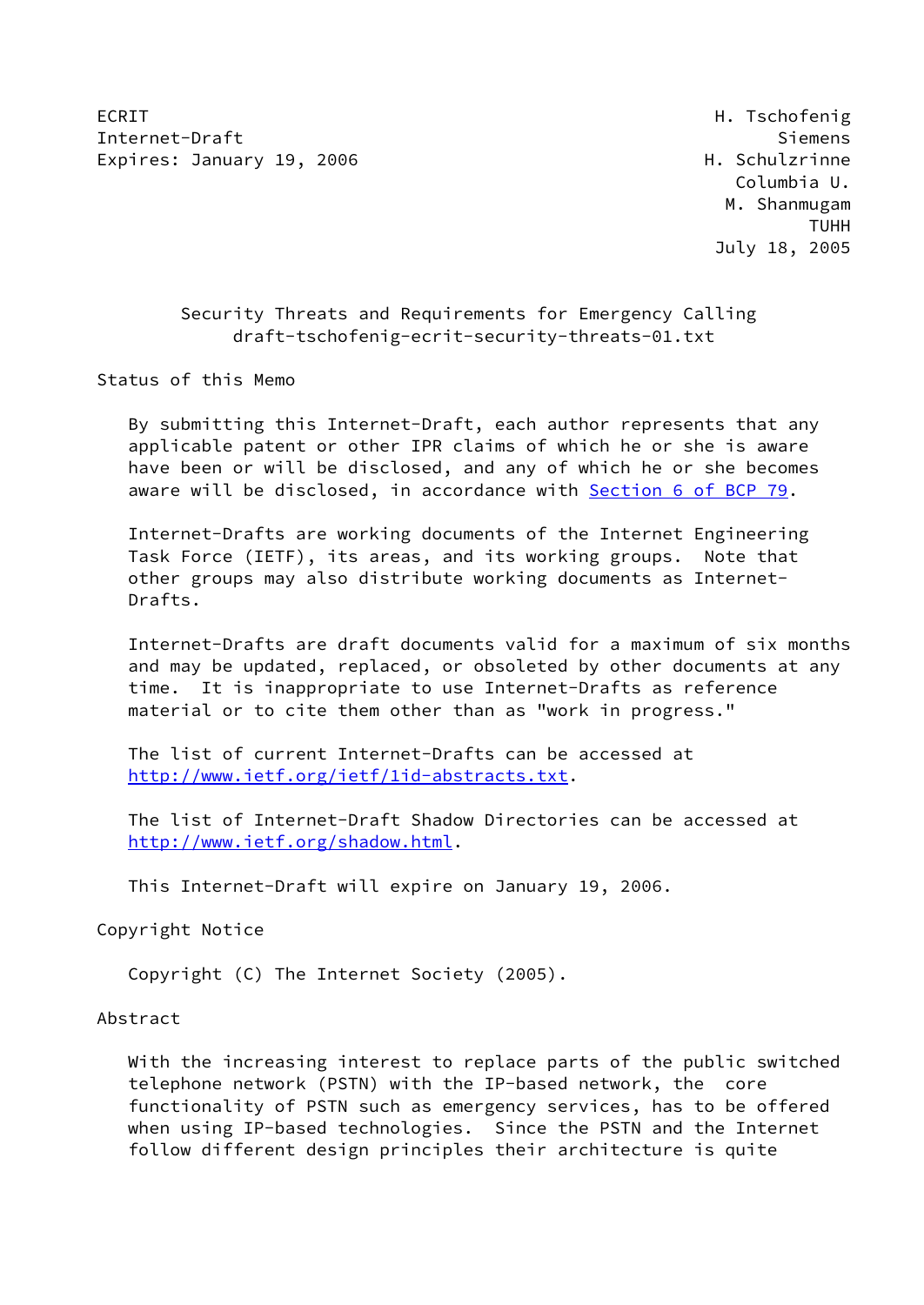ECRIT **Here** H. Tschofenig Internet-Draft Siemens Expires: January 19, 2006 **H. Schulzrinne** 

 Columbia U. M. Shanmugam TUHH July 18, 2005

# Security Threats and Requirements for Emergency Calling draft-tschofenig-ecrit-security-threats-01.txt

Status of this Memo

 By submitting this Internet-Draft, each author represents that any applicable patent or other IPR claims of which he or she is aware have been or will be disclosed, and any of which he or she becomes aware will be disclosed, in accordance with Section [6 of BCP 79.](https://datatracker.ietf.org/doc/pdf/bcp79#section-6)

 Internet-Drafts are working documents of the Internet Engineering Task Force (IETF), its areas, and its working groups. Note that other groups may also distribute working documents as Internet- Drafts.

 Internet-Drafts are draft documents valid for a maximum of six months and may be updated, replaced, or obsoleted by other documents at any time. It is inappropriate to use Internet-Drafts as reference material or to cite them other than as "work in progress."

 The list of current Internet-Drafts can be accessed at <http://www.ietf.org/ietf/1id-abstracts.txt>.

 The list of Internet-Draft Shadow Directories can be accessed at <http://www.ietf.org/shadow.html>.

This Internet-Draft will expire on January 19, 2006.

Copyright Notice

Copyright (C) The Internet Society (2005).

Abstract

 With the increasing interest to replace parts of the public switched telephone network (PSTN) with the IP-based network, the core functionality of PSTN such as emergency services, has to be offered when using IP-based technologies. Since the PSTN and the Internet follow different design principles their architecture is quite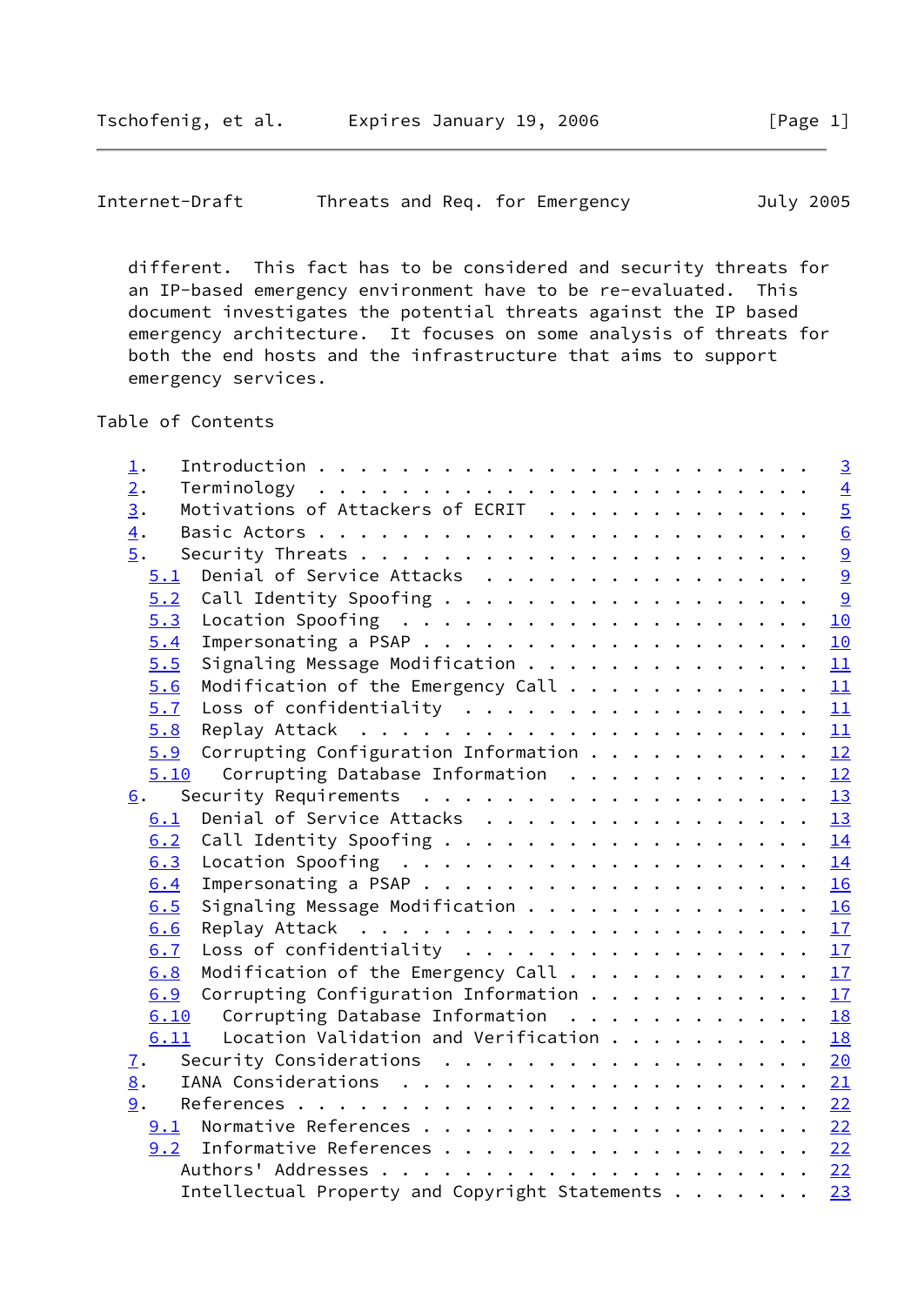Internet-Draft Threats and Req. for Emergency July 2005

 different. This fact has to be considered and security threats for an IP-based emergency environment have to be re-evaluated. This document investigates the potential threats against the IP based emergency architecture. It focuses on some analysis of threats for both the end hosts and the infrastructure that aims to support emergency services.

Table of Contents

| $\overline{\mathbf{1}}$ . |                                                                                    |  |  |  |  | $\overline{3}$ |
|---------------------------|------------------------------------------------------------------------------------|--|--|--|--|----------------|
| 2.                        |                                                                                    |  |  |  |  | $\overline{4}$ |
| $\overline{3}$ .          | Motivations of Attackers of ECRIT                                                  |  |  |  |  | $\overline{5}$ |
| $\overline{4}$ .          |                                                                                    |  |  |  |  |                |
| 5.                        |                                                                                    |  |  |  |  | $\frac{6}{9}$  |
|                           | 5.1 Denial of Service Attacks                                                      |  |  |  |  | 9              |
| 5.2                       | Call Identity Spoofing                                                             |  |  |  |  | $\overline{9}$ |
| 5.3                       |                                                                                    |  |  |  |  | 10             |
| 5.4                       |                                                                                    |  |  |  |  | 10             |
| 5.5                       | Signaling Message Modification 11                                                  |  |  |  |  |                |
| 5.6                       | Modification of the Emergency Call                                                 |  |  |  |  | 11             |
| 5.7                       | Loss of confidentiality $\underline{11}$                                           |  |  |  |  |                |
| 5.8                       |                                                                                    |  |  |  |  |                |
| 5.9                       | Corrupting Configuration Information 12                                            |  |  |  |  |                |
|                           | 5.10 Corrupting Database Information 12                                            |  |  |  |  |                |
| 6.                        |                                                                                    |  |  |  |  |                |
| 6.1                       | Denial of Service Attacks 13                                                       |  |  |  |  |                |
| 6.2                       | Call Identity Spoofing 14                                                          |  |  |  |  |                |
| 6.3                       | Location Spoofing $\ldots \ldots \ldots \ldots \ldots \ldots \ldots \frac{14}{14}$ |  |  |  |  |                |
| 6.4                       |                                                                                    |  |  |  |  |                |
| 6.5                       | Signaling Message Modification $\underline{16}$                                    |  |  |  |  |                |
| 6.6                       |                                                                                    |  |  |  |  |                |
| 6.7                       | Loss of confidentiality $\frac{17}{2}$                                             |  |  |  |  |                |
| 6.8                       | Modification of the Emergency Call $\cdots$ 17                                     |  |  |  |  |                |
| 6.9                       | Corrupting Configuration Information $\frac{17}{2}$                                |  |  |  |  |                |
| 6.10                      | Corrupting Database Information $\ldots \ldots \ldots \ldots \frac{18}{18}$        |  |  |  |  |                |
| 6.11                      | Location Validation and Verification $\cdots$ 18                                   |  |  |  |  |                |
| 7.                        | Security Considerations $\cdots$ 20                                                |  |  |  |  |                |
| 8.                        |                                                                                    |  |  |  |  |                |
| 9.                        |                                                                                    |  |  |  |  |                |
| 9.1                       | Normative References 22                                                            |  |  |  |  |                |
| 9.2                       | Informative References 22                                                          |  |  |  |  |                |
|                           |                                                                                    |  |  |  |  |                |
|                           | Intellectual Property and Copyright Statements                                     |  |  |  |  | 23             |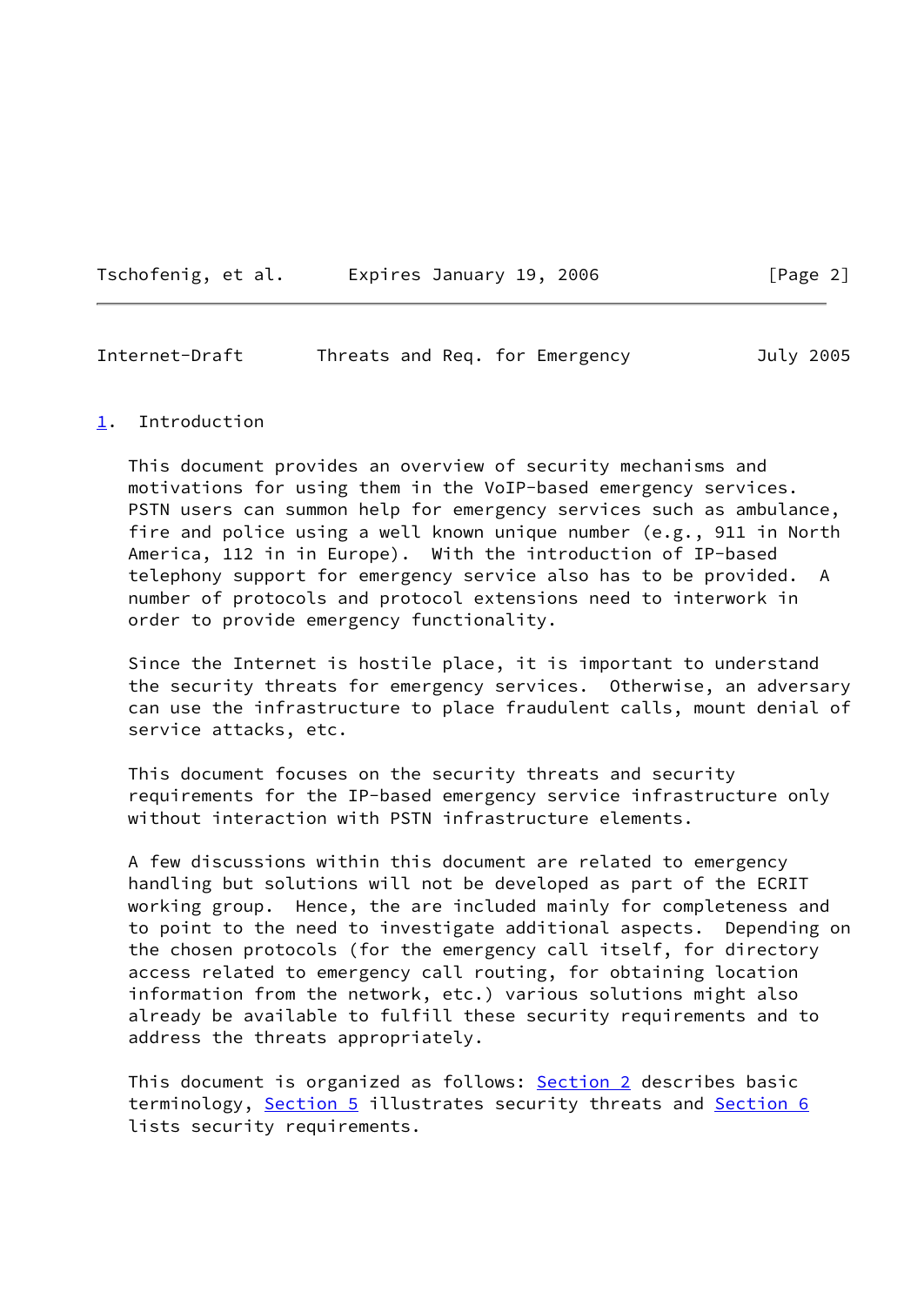|  | Tschofenig, et al. |  |  | Expires January 19, 2006 |  |  |  |
|--|--------------------|--|--|--------------------------|--|--|--|
|--|--------------------|--|--|--------------------------|--|--|--|

<span id="page-2-1"></span>Internet-Draft Threats and Req. for Emergency July 2005

#### <span id="page-2-0"></span>[1](#page-2-0). Introduction

 This document provides an overview of security mechanisms and motivations for using them in the VoIP-based emergency services. PSTN users can summon help for emergency services such as ambulance, fire and police using a well known unique number (e.g., 911 in North America, 112 in in Europe). With the introduction of IP-based telephony support for emergency service also has to be provided. A number of protocols and protocol extensions need to interwork in order to provide emergency functionality.

 Since the Internet is hostile place, it is important to understand the security threats for emergency services. Otherwise, an adversary can use the infrastructure to place fraudulent calls, mount denial of service attacks, etc.

 This document focuses on the security threats and security requirements for the IP-based emergency service infrastructure only without interaction with PSTN infrastructure elements.

 A few discussions within this document are related to emergency handling but solutions will not be developed as part of the ECRIT working group. Hence, the are included mainly for completeness and to point to the need to investigate additional aspects. Depending on the chosen protocols (for the emergency call itself, for directory access related to emergency call routing, for obtaining location information from the network, etc.) various solutions might also already be available to fulfill these security requirements and to address the threats appropriately.

 This document is organized as follows: [Section 2](#page-3-0) describes basic terminology, [Section 5](#page-9-0) illustrates security threats and [Section 6](#page-13-0) lists security requirements.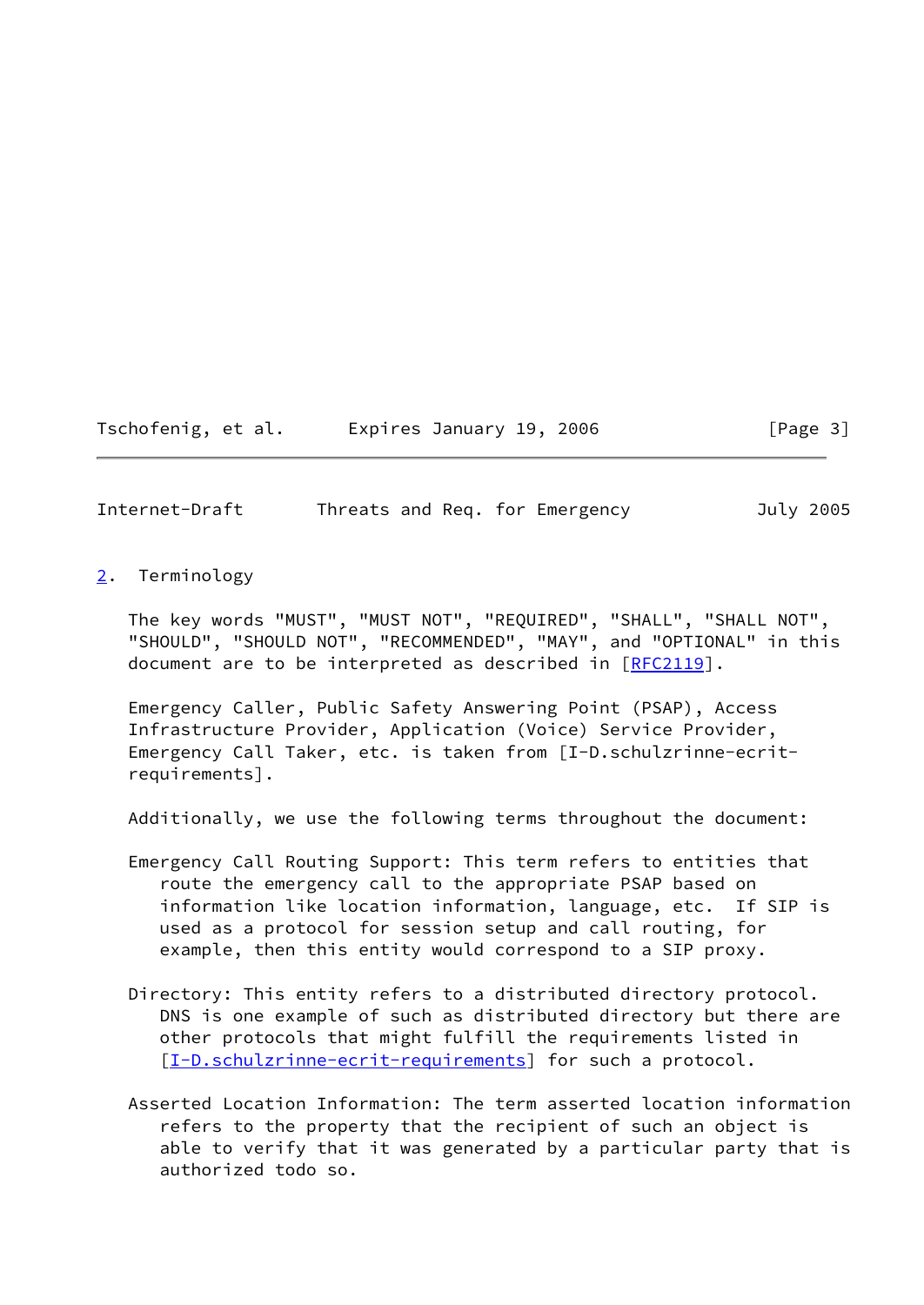Tschofenig, et al. Expires January 19, 2006 [Page 3]

<span id="page-3-1"></span>Internet-Draft Threats and Req. for Emergency July 2005

<span id="page-3-0"></span>[2](#page-3-0). Terminology

 The key words "MUST", "MUST NOT", "REQUIRED", "SHALL", "SHALL NOT", "SHOULD", "SHOULD NOT", "RECOMMENDED", "MAY", and "OPTIONAL" in this document are to be interpreted as described in [\[RFC2119](https://datatracker.ietf.org/doc/pdf/rfc2119)].

 Emergency Caller, Public Safety Answering Point (PSAP), Access Infrastructure Provider, Application (Voice) Service Provider, Emergency Call Taker, etc. is taken from [I-D.schulzrinne-ecrit requirements].

Additionally, we use the following terms throughout the document:

- Emergency Call Routing Support: This term refers to entities that route the emergency call to the appropriate PSAP based on information like location information, language, etc. If SIP is used as a protocol for session setup and call routing, for example, then this entity would correspond to a SIP proxy.
- Directory: This entity refers to a distributed directory protocol. DNS is one example of such as distributed directory but there are other protocols that might fulfill the requirements listed in [[I-D.schulzrinne-ecrit-requirements\]](#page-24-2) for such a protocol.
- Asserted Location Information: The term asserted location information refers to the property that the recipient of such an object is able to verify that it was generated by a particular party that is authorized todo so.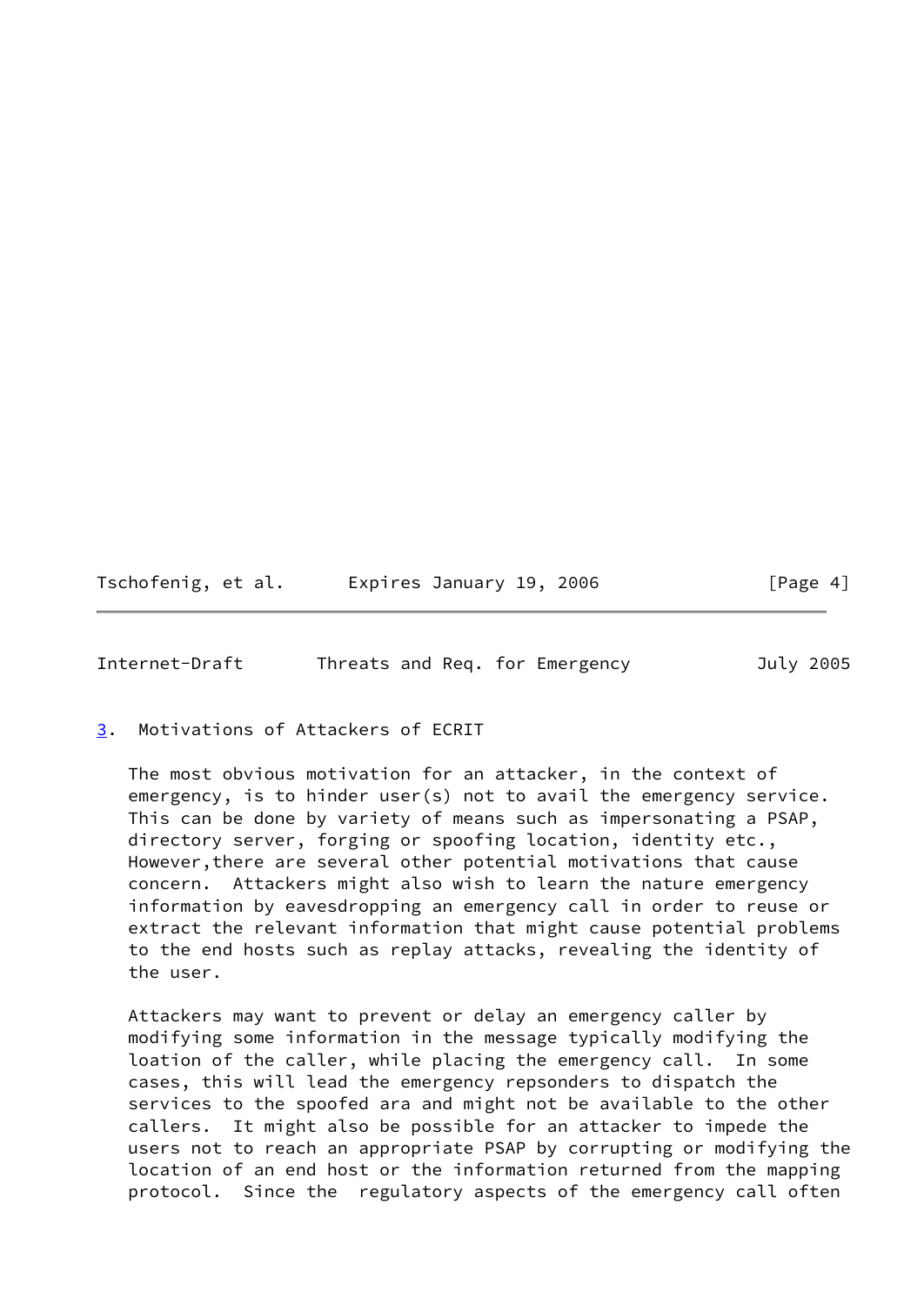| Tschofenig, et al. | Expires January 19, 2006 | [Page 4] |
|--------------------|--------------------------|----------|
|--------------------|--------------------------|----------|

<span id="page-4-1"></span>Internet-Draft Threats and Req. for Emergency July 2005

<span id="page-4-0"></span>[3](#page-4-0). Motivations of Attackers of ECRIT

 The most obvious motivation for an attacker, in the context of emergency, is to hinder user(s) not to avail the emergency service. This can be done by variety of means such as impersonating a PSAP, directory server, forging or spoofing location, identity etc., However,there are several other potential motivations that cause concern. Attackers might also wish to learn the nature emergency information by eavesdropping an emergency call in order to reuse or extract the relevant information that might cause potential problems to the end hosts such as replay attacks, revealing the identity of the user.

 Attackers may want to prevent or delay an emergency caller by modifying some information in the message typically modifying the loation of the caller, while placing the emergency call. In some cases, this will lead the emergency repsonders to dispatch the services to the spoofed ara and might not be available to the other callers. It might also be possible for an attacker to impede the users not to reach an appropriate PSAP by corrupting or modifying the location of an end host or the information returned from the mapping protocol. Since the regulatory aspects of the emergency call often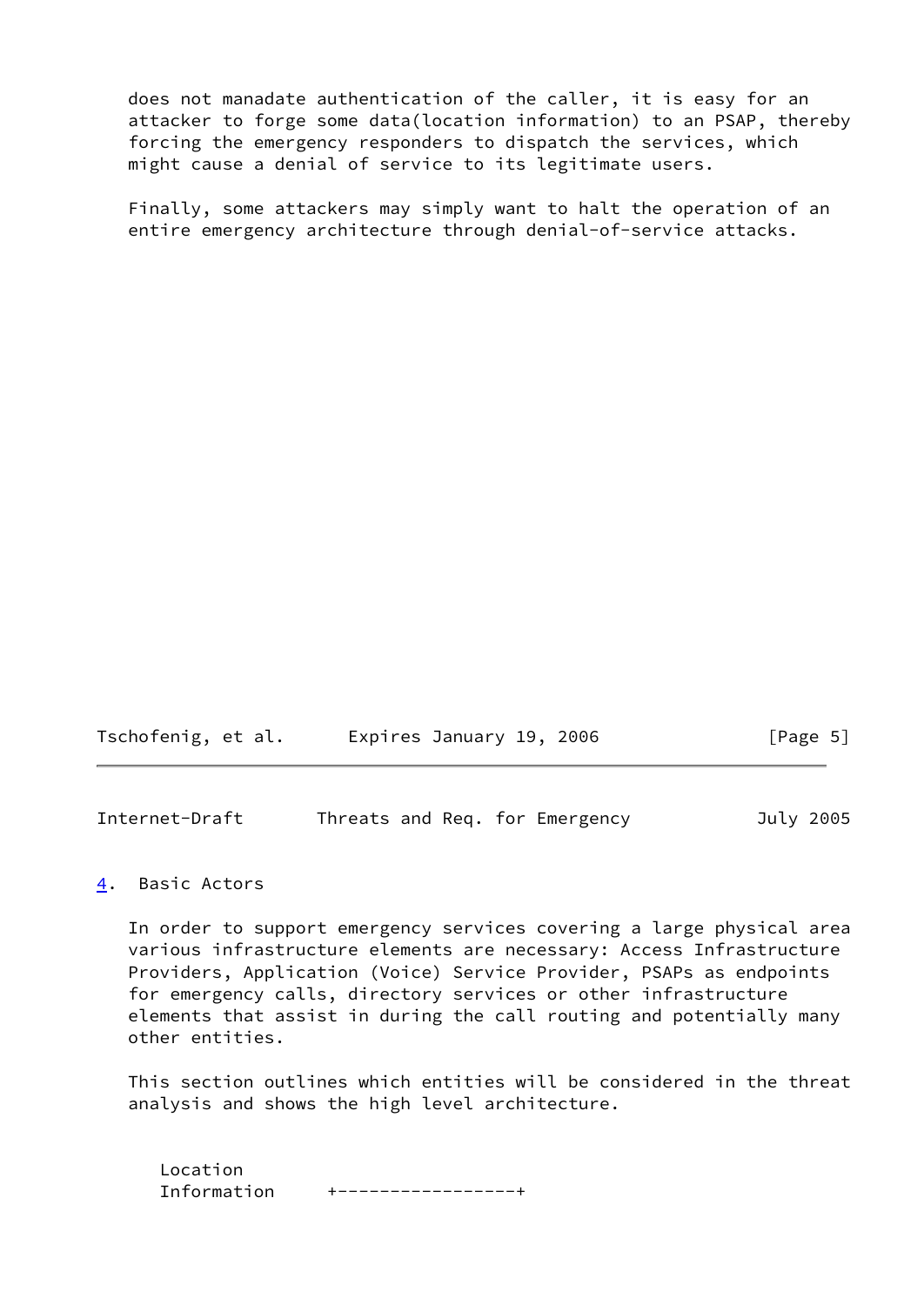does not manadate authentication of the caller, it is easy for an attacker to forge some data(location information) to an PSAP, thereby forcing the emergency responders to dispatch the services, which might cause a denial of service to its legitimate users.

 Finally, some attackers may simply want to halt the operation of an entire emergency architecture through denial-of-service attacks.

| Tschofenig, et al. | Expires January 19, 2006 | [Page 5] |
|--------------------|--------------------------|----------|
|--------------------|--------------------------|----------|

<span id="page-5-1"></span>Internet-Draft Threats and Req. for Emergency July 2005

#### <span id="page-5-0"></span>[4](#page-5-0). Basic Actors

 In order to support emergency services covering a large physical area various infrastructure elements are necessary: Access Infrastructure Providers, Application (Voice) Service Provider, PSAPs as endpoints for emergency calls, directory services or other infrastructure elements that assist in during the call routing and potentially many other entities.

 This section outlines which entities will be considered in the threat analysis and shows the high level architecture.

 Location Information +-----------------+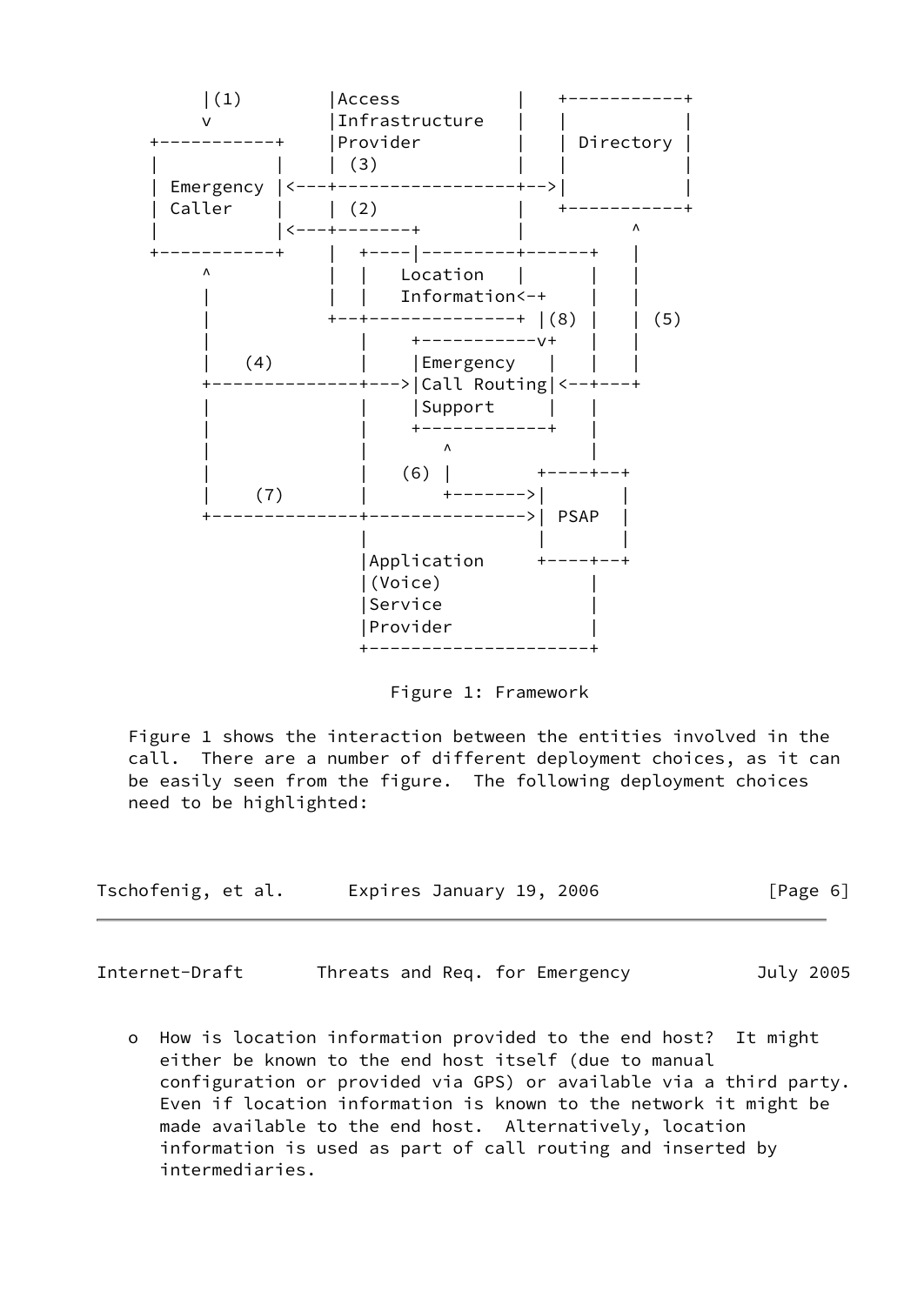

Figure 1: Framework

 Figure 1 shows the interaction between the entities involved in the call. There are a number of different deployment choices, as it can be easily seen from the figure. The following deployment choices need to be highlighted:

| Tschofenig, et al. | Expires January 19, 2006 | [Page 6] |
|--------------------|--------------------------|----------|
|--------------------|--------------------------|----------|

Internet-Draft Threats and Req. for Emergency July 2005

 o How is location information provided to the end host? It might either be known to the end host itself (due to manual configuration or provided via GPS) or available via a third party. Even if location information is known to the network it might be made available to the end host. Alternatively, location information is used as part of call routing and inserted by intermediaries.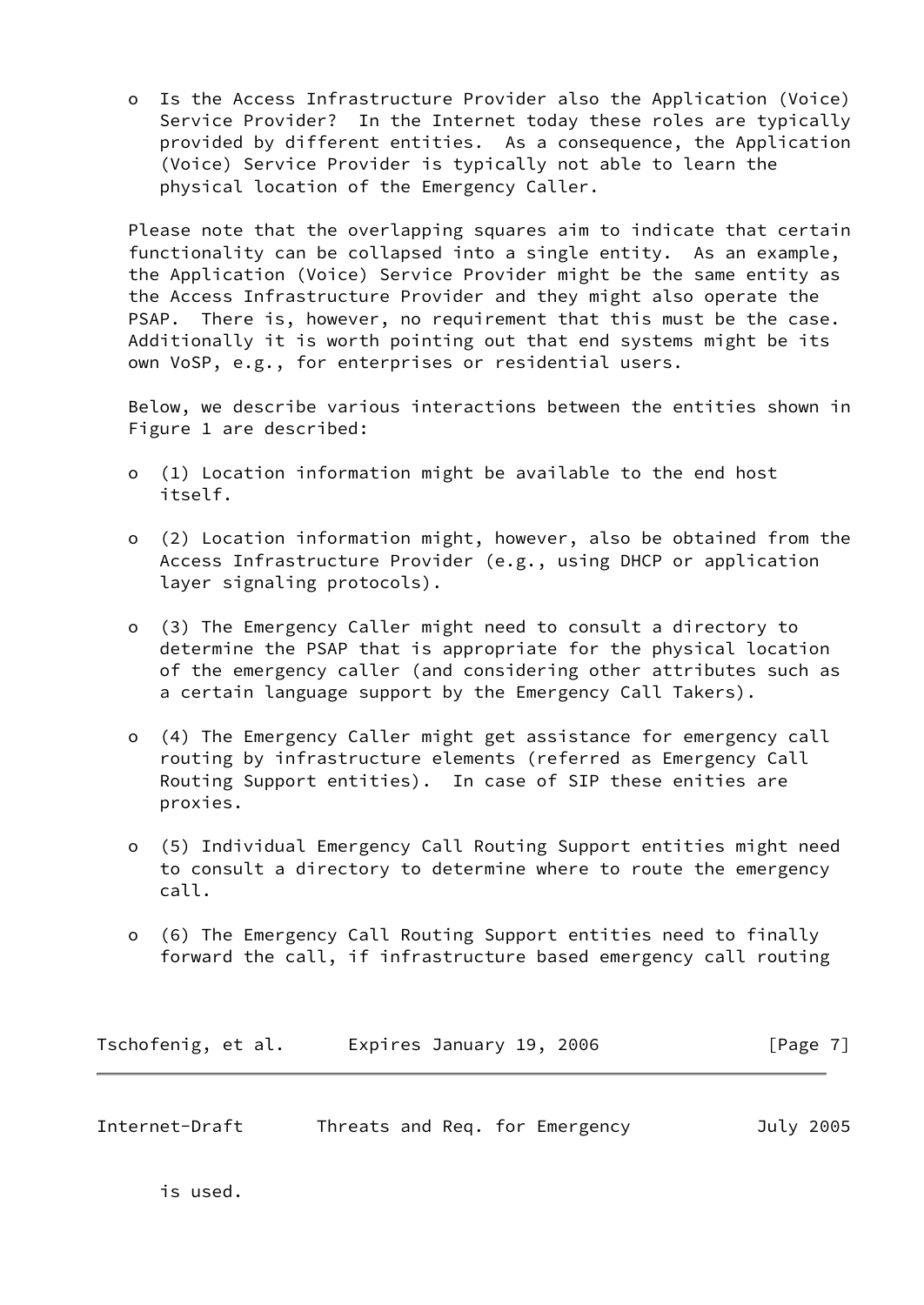o Is the Access Infrastructure Provider also the Application (Voice) Service Provider? In the Internet today these roles are typically provided by different entities. As a consequence, the Application (Voice) Service Provider is typically not able to learn the physical location of the Emergency Caller.

 Please note that the overlapping squares aim to indicate that certain functionality can be collapsed into a single entity. As an example, the Application (Voice) Service Provider might be the same entity as the Access Infrastructure Provider and they might also operate the PSAP. There is, however, no requirement that this must be the case. Additionally it is worth pointing out that end systems might be its own VoSP, e.g., for enterprises or residential users.

 Below, we describe various interactions between the entities shown in Figure 1 are described:

- o (1) Location information might be available to the end host itself.
- o (2) Location information might, however, also be obtained from the Access Infrastructure Provider (e.g., using DHCP or application layer signaling protocols).
- o (3) The Emergency Caller might need to consult a directory to determine the PSAP that is appropriate for the physical location of the emergency caller (and considering other attributes such as a certain language support by the Emergency Call Takers).
- o (4) The Emergency Caller might get assistance for emergency call routing by infrastructure elements (referred as Emergency Call Routing Support entities). In case of SIP these enities are proxies.
- o (5) Individual Emergency Call Routing Support entities might need to consult a directory to determine where to route the emergency call.
- o (6) The Emergency Call Routing Support entities need to finally forward the call, if infrastructure based emergency call routing

| Tschofenig, et al. | Expires January 19, 2006 | [Page 7] |
|--------------------|--------------------------|----------|
|--------------------|--------------------------|----------|

Internet-Draft Threats and Req. for Emergency July 2005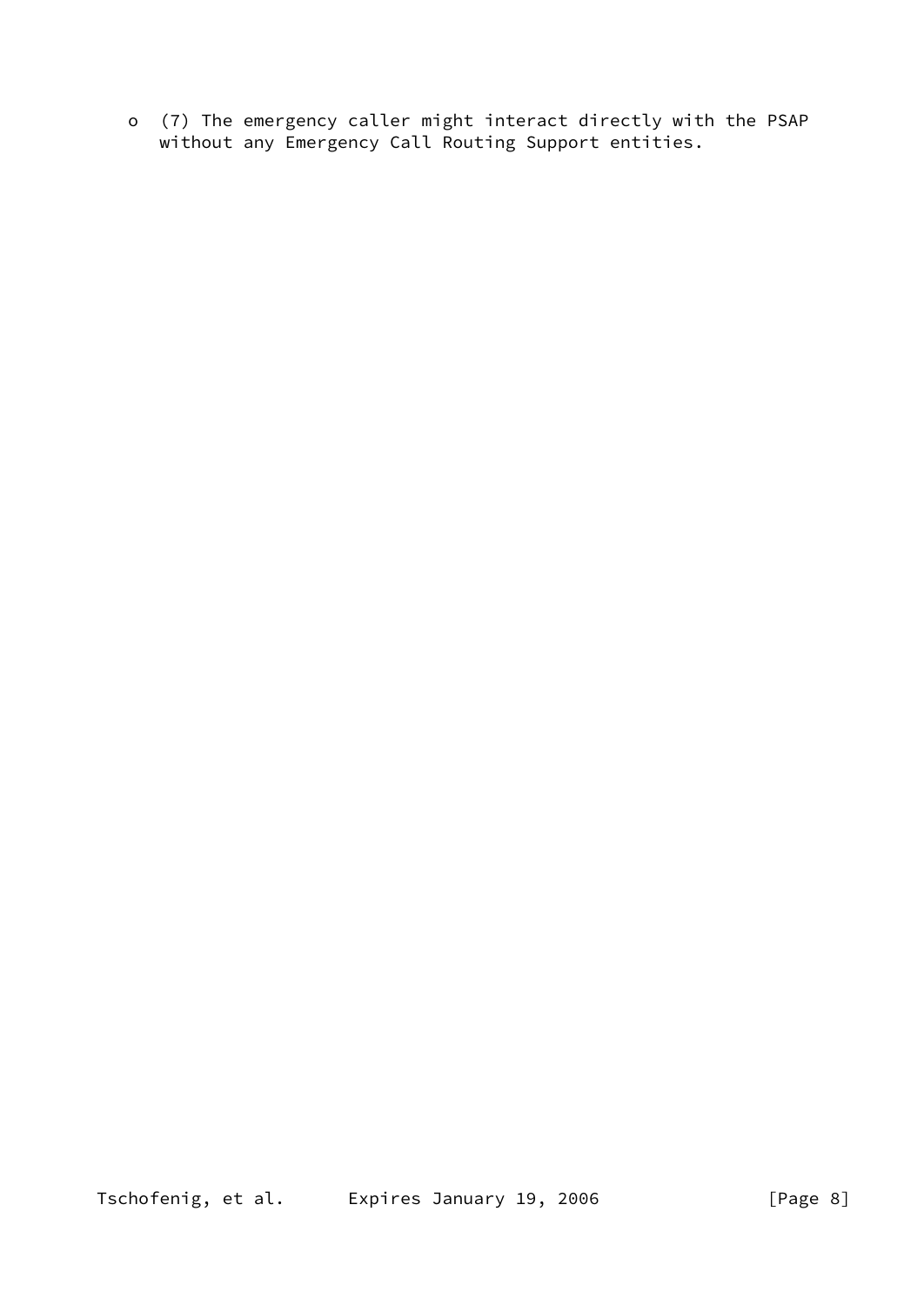o (7) The emergency caller might interact directly with the PSAP without any Emergency Call Routing Support entities.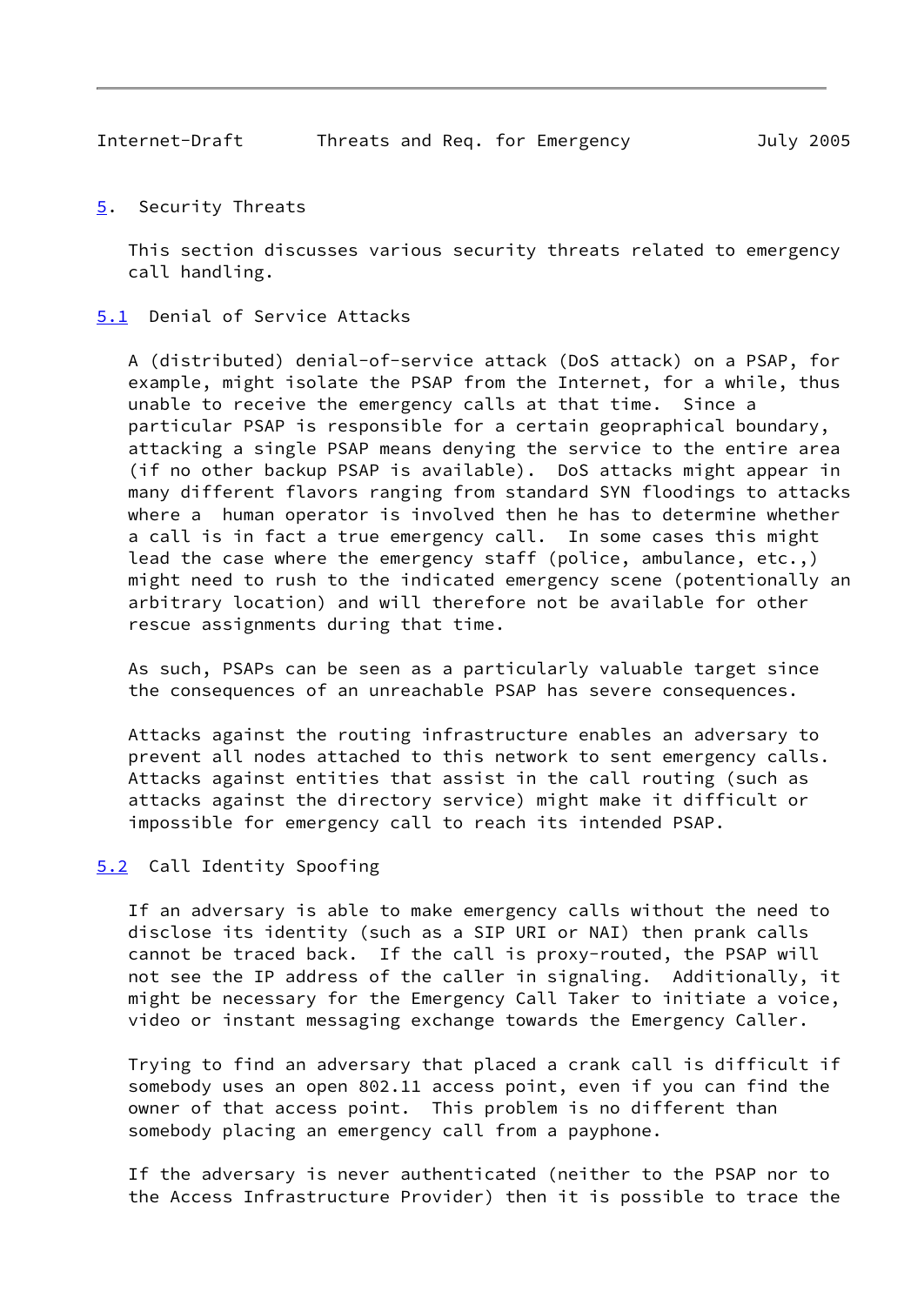<span id="page-9-1"></span><span id="page-9-0"></span>[5](#page-9-0). Security Threats

 This section discusses various security threats related to emergency call handling.

<span id="page-9-2"></span>[5.1](#page-9-2) Denial of Service Attacks

 A (distributed) denial-of-service attack (DoS attack) on a PSAP, for example, might isolate the PSAP from the Internet, for a while, thus unable to receive the emergency calls at that time. Since a particular PSAP is responsible for a certain geopraphical boundary, attacking a single PSAP means denying the service to the entire area (if no other backup PSAP is available). DoS attacks might appear in many different flavors ranging from standard SYN floodings to attacks where a human operator is involved then he has to determine whether a call is in fact a true emergency call. In some cases this might lead the case where the emergency staff (police, ambulance, etc.,) might need to rush to the indicated emergency scene (potentionally an arbitrary location) and will therefore not be available for other rescue assignments during that time.

 As such, PSAPs can be seen as a particularly valuable target since the consequences of an unreachable PSAP has severe consequences.

 Attacks against the routing infrastructure enables an adversary to prevent all nodes attached to this network to sent emergency calls. Attacks against entities that assist in the call routing (such as attacks against the directory service) might make it difficult or impossible for emergency call to reach its intended PSAP.

# <span id="page-9-3"></span>[5.2](#page-9-3) Call Identity Spoofing

 If an adversary is able to make emergency calls without the need to disclose its identity (such as a SIP URI or NAI) then prank calls cannot be traced back. If the call is proxy-routed, the PSAP will not see the IP address of the caller in signaling. Additionally, it might be necessary for the Emergency Call Taker to initiate a voice, video or instant messaging exchange towards the Emergency Caller.

 Trying to find an adversary that placed a crank call is difficult if somebody uses an open 802.11 access point, even if you can find the owner of that access point. This problem is no different than somebody placing an emergency call from a payphone.

 If the adversary is never authenticated (neither to the PSAP nor to the Access Infrastructure Provider) then it is possible to trace the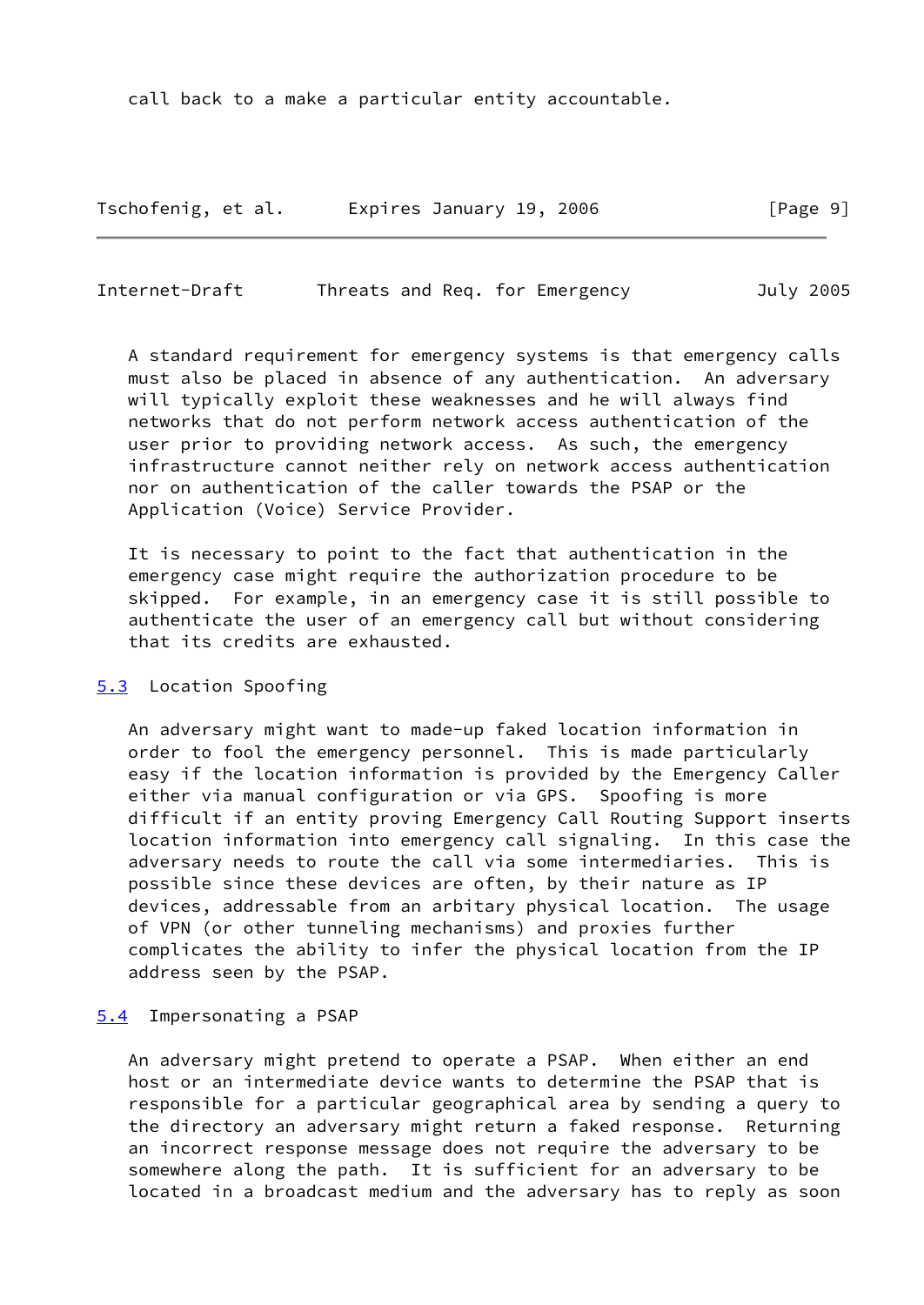call back to a make a particular entity accountable.

Tschofenig, et al. Expires January 19, 2006 [Page 9]

<span id="page-10-1"></span>Internet-Draft Threats and Req. for Emergency July 2005

 A standard requirement for emergency systems is that emergency calls must also be placed in absence of any authentication. An adversary will typically exploit these weaknesses and he will always find networks that do not perform network access authentication of the user prior to providing network access. As such, the emergency infrastructure cannot neither rely on network access authentication nor on authentication of the caller towards the PSAP or the Application (Voice) Service Provider.

 It is necessary to point to the fact that authentication in the emergency case might require the authorization procedure to be skipped. For example, in an emergency case it is still possible to authenticate the user of an emergency call but without considering that its credits are exhausted.

#### <span id="page-10-0"></span>[5.3](#page-10-0) Location Spoofing

 An adversary might want to made-up faked location information in order to fool the emergency personnel. This is made particularly easy if the location information is provided by the Emergency Caller either via manual configuration or via GPS. Spoofing is more difficult if an entity proving Emergency Call Routing Support inserts location information into emergency call signaling. In this case the adversary needs to route the call via some intermediaries. This is possible since these devices are often, by their nature as IP devices, addressable from an arbitary physical location. The usage of VPN (or other tunneling mechanisms) and proxies further complicates the ability to infer the physical location from the IP address seen by the PSAP.

#### <span id="page-10-2"></span>[5.4](#page-10-2) Impersonating a PSAP

 An adversary might pretend to operate a PSAP. When either an end host or an intermediate device wants to determine the PSAP that is responsible for a particular geographical area by sending a query to the directory an adversary might return a faked response. Returning an incorrect response message does not require the adversary to be somewhere along the path. It is sufficient for an adversary to be located in a broadcast medium and the adversary has to reply as soon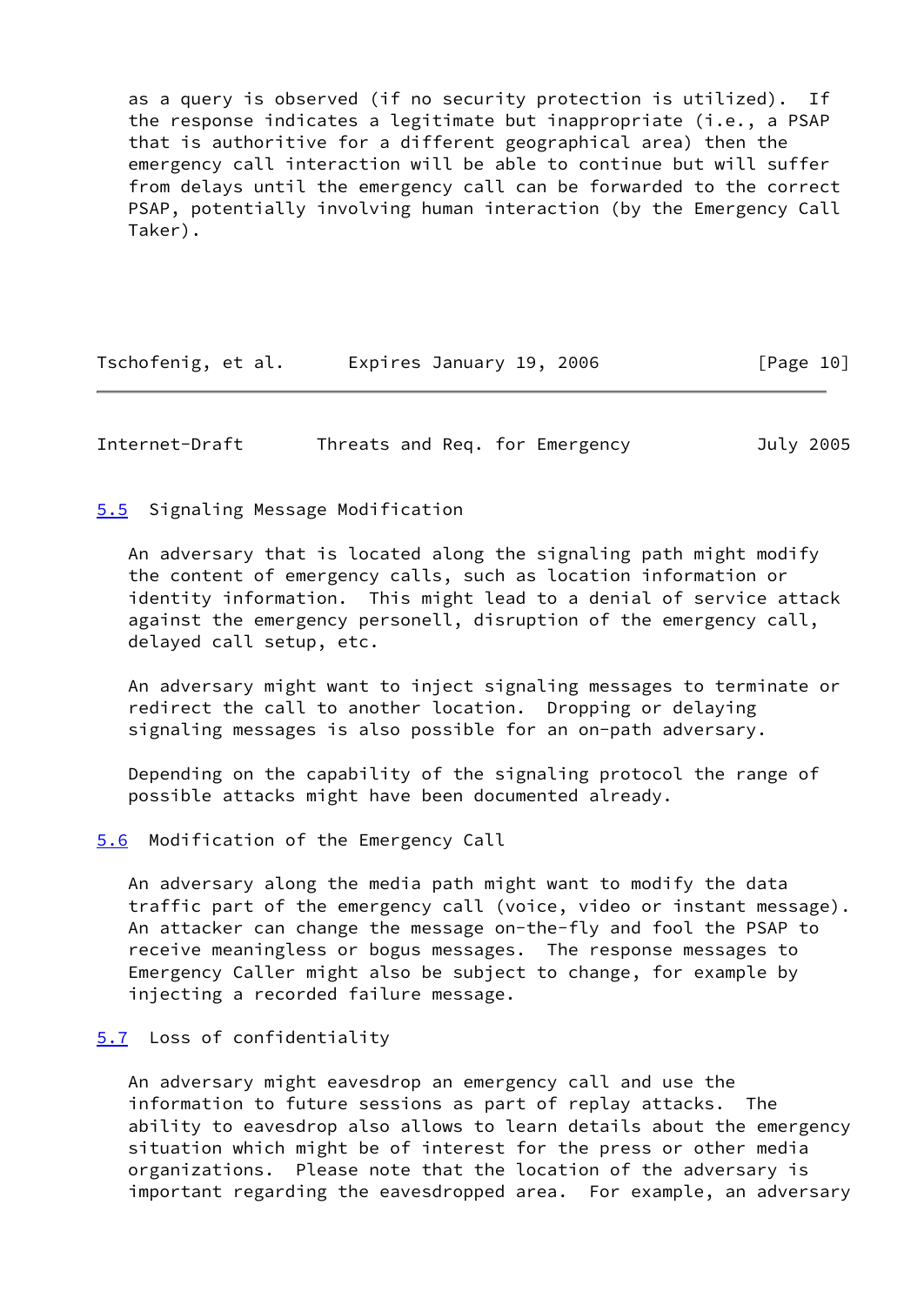as a query is observed (if no security protection is utilized). If the response indicates a legitimate but inappropriate (i.e., a PSAP that is authoritive for a different geographical area) then the emergency call interaction will be able to continue but will suffer from delays until the emergency call can be forwarded to the correct PSAP, potentially involving human interaction (by the Emergency Call Taker).

| Tschofenig, et al. | Expires January 19, 2006 | [Page 10] |
|--------------------|--------------------------|-----------|
|--------------------|--------------------------|-----------|

<span id="page-11-1"></span>Internet-Draft Threats and Req. for Emergency July 2005

## <span id="page-11-0"></span>[5.5](#page-11-0) Signaling Message Modification

 An adversary that is located along the signaling path might modify the content of emergency calls, such as location information or identity information. This might lead to a denial of service attack against the emergency personell, disruption of the emergency call, delayed call setup, etc.

 An adversary might want to inject signaling messages to terminate or redirect the call to another location. Dropping or delaying signaling messages is also possible for an on-path adversary.

 Depending on the capability of the signaling protocol the range of possible attacks might have been documented already.

#### <span id="page-11-2"></span>[5.6](#page-11-2) Modification of the Emergency Call

 An adversary along the media path might want to modify the data traffic part of the emergency call (voice, video or instant message). An attacker can change the message on-the-fly and fool the PSAP to receive meaningless or bogus messages. The response messages to Emergency Caller might also be subject to change, for example by injecting a recorded failure message.

## <span id="page-11-3"></span>[5.7](#page-11-3) Loss of confidentiality

 An adversary might eavesdrop an emergency call and use the information to future sessions as part of replay attacks. The ability to eavesdrop also allows to learn details about the emergency situation which might be of interest for the press or other media organizations. Please note that the location of the adversary is important regarding the eavesdropped area. For example, an adversary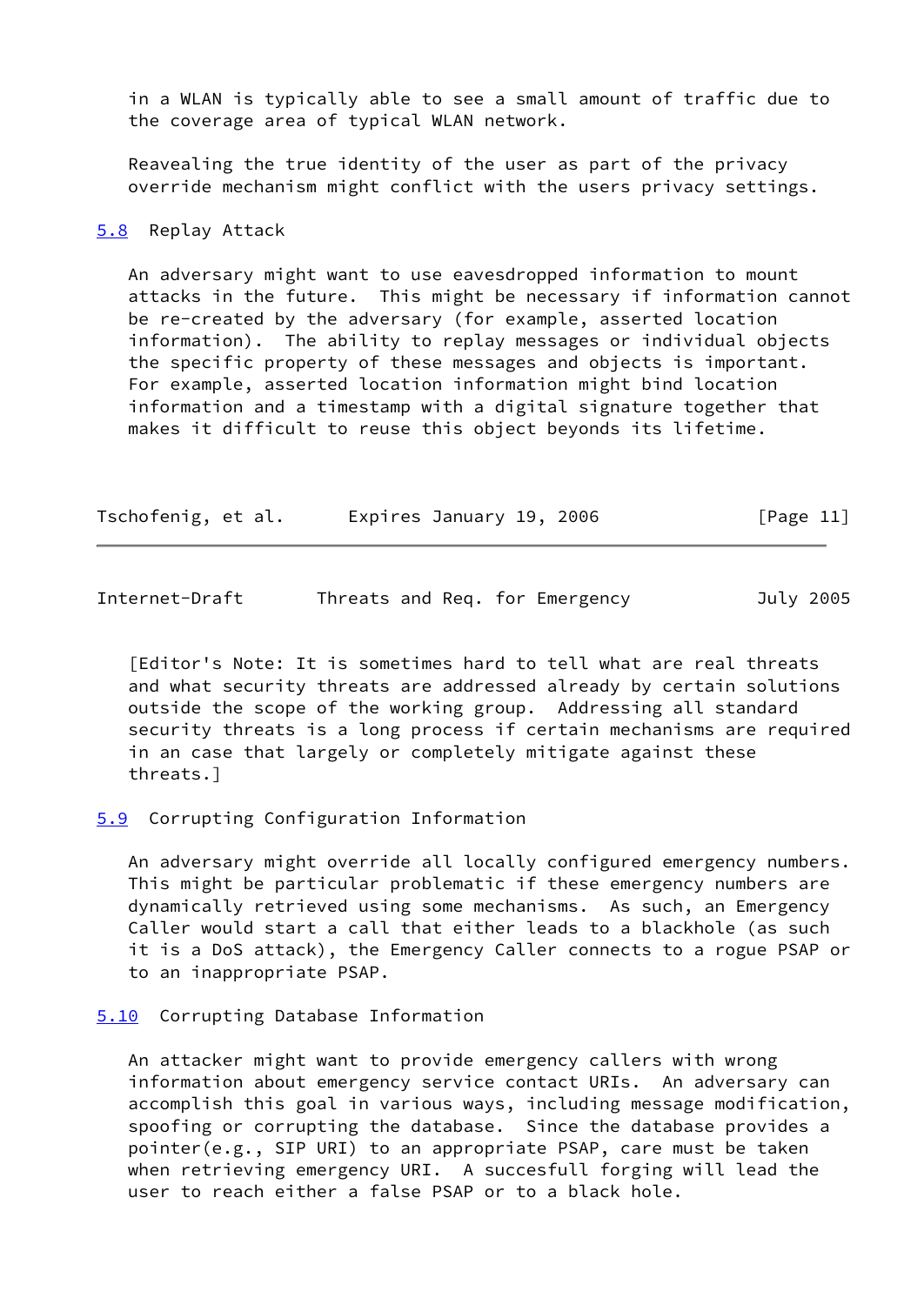in a WLAN is typically able to see a small amount of traffic due to the coverage area of typical WLAN network.

 Reavealing the true identity of the user as part of the privacy override mechanism might conflict with the users privacy settings.

#### <span id="page-12-0"></span>[5.8](#page-12-0) Replay Attack

 An adversary might want to use eavesdropped information to mount attacks in the future. This might be necessary if information cannot be re-created by the adversary (for example, asserted location information). The ability to replay messages or individual objects the specific property of these messages and objects is important. For example, asserted location information might bind location information and a timestamp with a digital signature together that makes it difficult to reuse this object beyonds its lifetime.

| Tschofenig, et al. | Expires January 19, 2006 | [Page 11] |
|--------------------|--------------------------|-----------|
|--------------------|--------------------------|-----------|

<span id="page-12-2"></span>

| Internet-Draft |  |  | Threats and Req. for Emergency | July 2005 |
|----------------|--|--|--------------------------------|-----------|
|                |  |  |                                |           |

 [Editor's Note: It is sometimes hard to tell what are real threats and what security threats are addressed already by certain solutions outside the scope of the working group. Addressing all standard security threats is a long process if certain mechanisms are required in an case that largely or completely mitigate against these threats.]

#### <span id="page-12-1"></span>[5.9](#page-12-1) Corrupting Configuration Information

 An adversary might override all locally configured emergency numbers. This might be particular problematic if these emergency numbers are dynamically retrieved using some mechanisms. As such, an Emergency Caller would start a call that either leads to a blackhole (as such it is a DoS attack), the Emergency Caller connects to a rogue PSAP or to an inappropriate PSAP.

#### <span id="page-12-3"></span>[5.10](#page-12-3) Corrupting Database Information

 An attacker might want to provide emergency callers with wrong information about emergency service contact URIs. An adversary can accomplish this goal in various ways, including message modification, spoofing or corrupting the database. Since the database provides a pointer(e.g., SIP URI) to an appropriate PSAP, care must be taken when retrieving emergency URI. A succesfull forging will lead the user to reach either a false PSAP or to a black hole.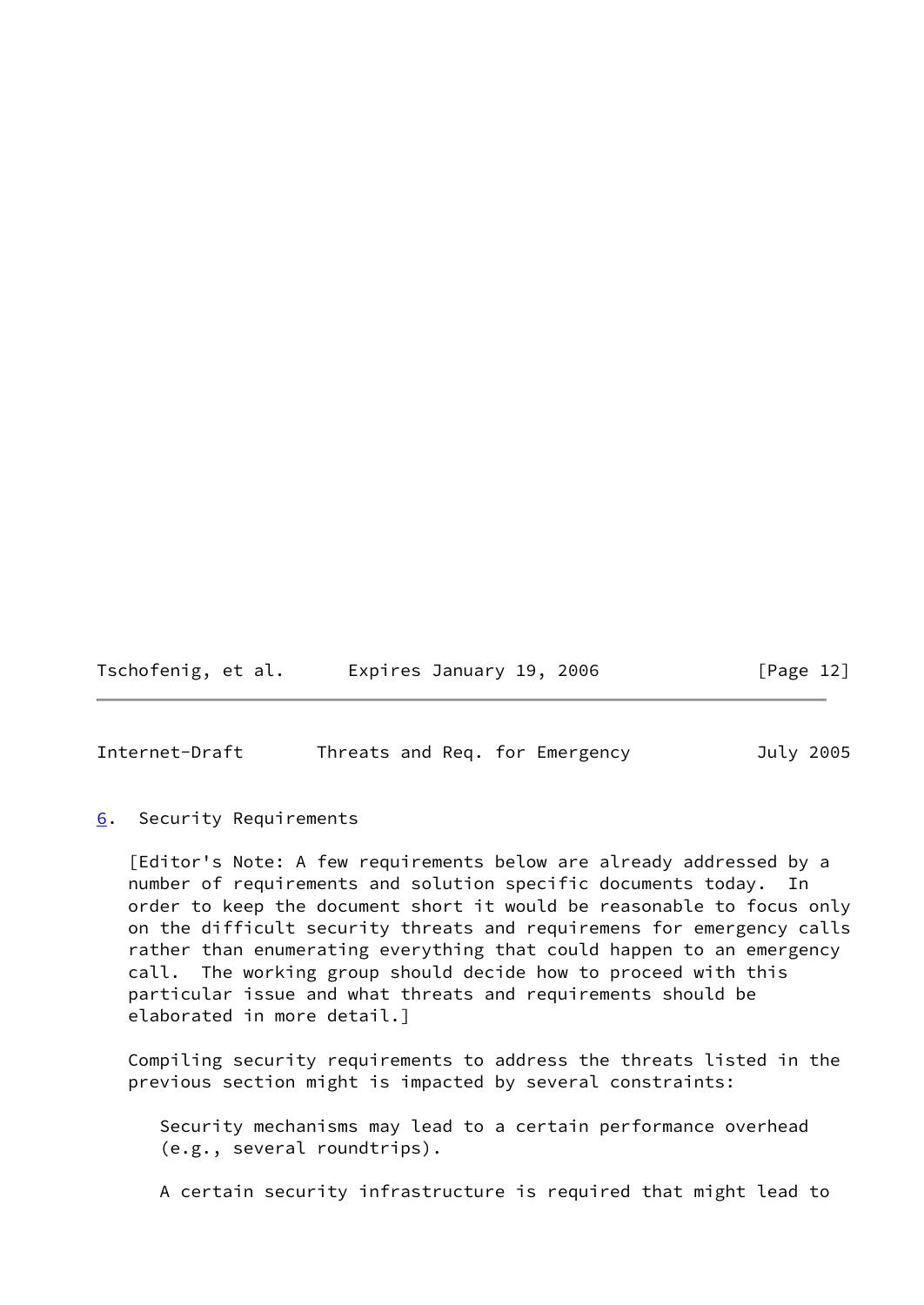Tschofenig, et al. Expires January 19, 2006 [Page 12]

<span id="page-13-1"></span>Internet-Draft Threats and Req. for Emergency July 2005

<span id="page-13-0"></span>[6](#page-13-0). Security Requirements

 [Editor's Note: A few requirements below are already addressed by a number of requirements and solution specific documents today. In order to keep the document short it would be reasonable to focus only on the difficult security threats and requiremens for emergency calls rather than enumerating everything that could happen to an emergency call. The working group should decide how to proceed with this particular issue and what threats and requirements should be elaborated in more detail.]

 Compiling security requirements to address the threats listed in the previous section might is impacted by several constraints:

 Security mechanisms may lead to a certain performance overhead (e.g., several roundtrips).

A certain security infrastructure is required that might lead to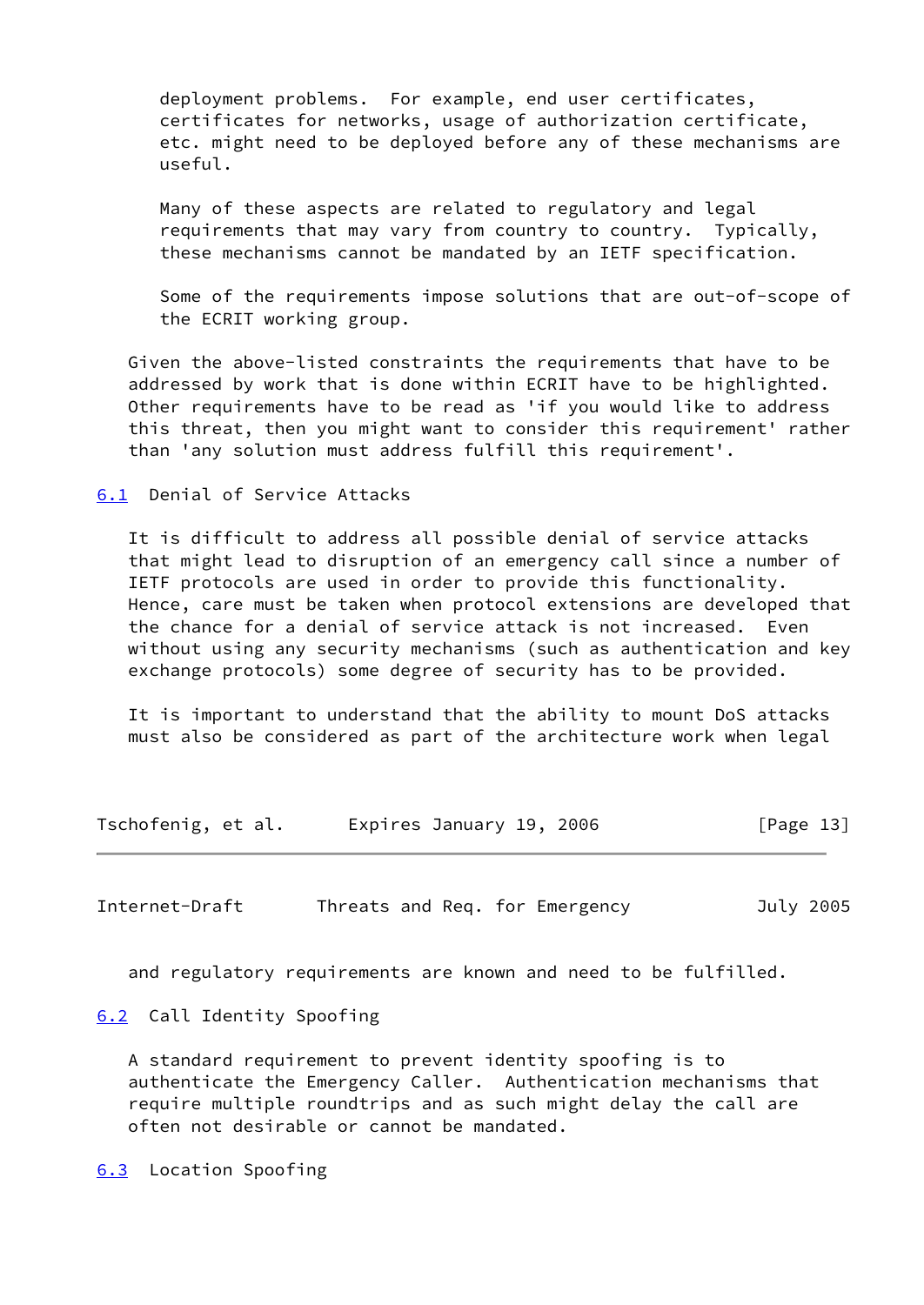deployment problems. For example, end user certificates, certificates for networks, usage of authorization certificate, etc. might need to be deployed before any of these mechanisms are useful.

 Many of these aspects are related to regulatory and legal requirements that may vary from country to country. Typically, these mechanisms cannot be mandated by an IETF specification.

 Some of the requirements impose solutions that are out-of-scope of the ECRIT working group.

 Given the above-listed constraints the requirements that have to be addressed by work that is done within ECRIT have to be highlighted. Other requirements have to be read as 'if you would like to address this threat, then you might want to consider this requirement' rather than 'any solution must address fulfill this requirement'.

<span id="page-14-0"></span>[6.1](#page-14-0) Denial of Service Attacks

 It is difficult to address all possible denial of service attacks that might lead to disruption of an emergency call since a number of IETF protocols are used in order to provide this functionality. Hence, care must be taken when protocol extensions are developed that the chance for a denial of service attack is not increased. Even without using any security mechanisms (such as authentication and key exchange protocols) some degree of security has to be provided.

 It is important to understand that the ability to mount DoS attacks must also be considered as part of the architecture work when legal

| Tschofenig, et al. | Expires January 19, 2006 | [Page 13] |
|--------------------|--------------------------|-----------|
|--------------------|--------------------------|-----------|

<span id="page-14-2"></span>Internet-Draft Threats and Req. for Emergency July 2005

and regulatory requirements are known and need to be fulfilled.

<span id="page-14-1"></span>[6.2](#page-14-1) Call Identity Spoofing

 A standard requirement to prevent identity spoofing is to authenticate the Emergency Caller. Authentication mechanisms that require multiple roundtrips and as such might delay the call are often not desirable or cannot be mandated.

<span id="page-14-3"></span>[6.3](#page-14-3) Location Spoofing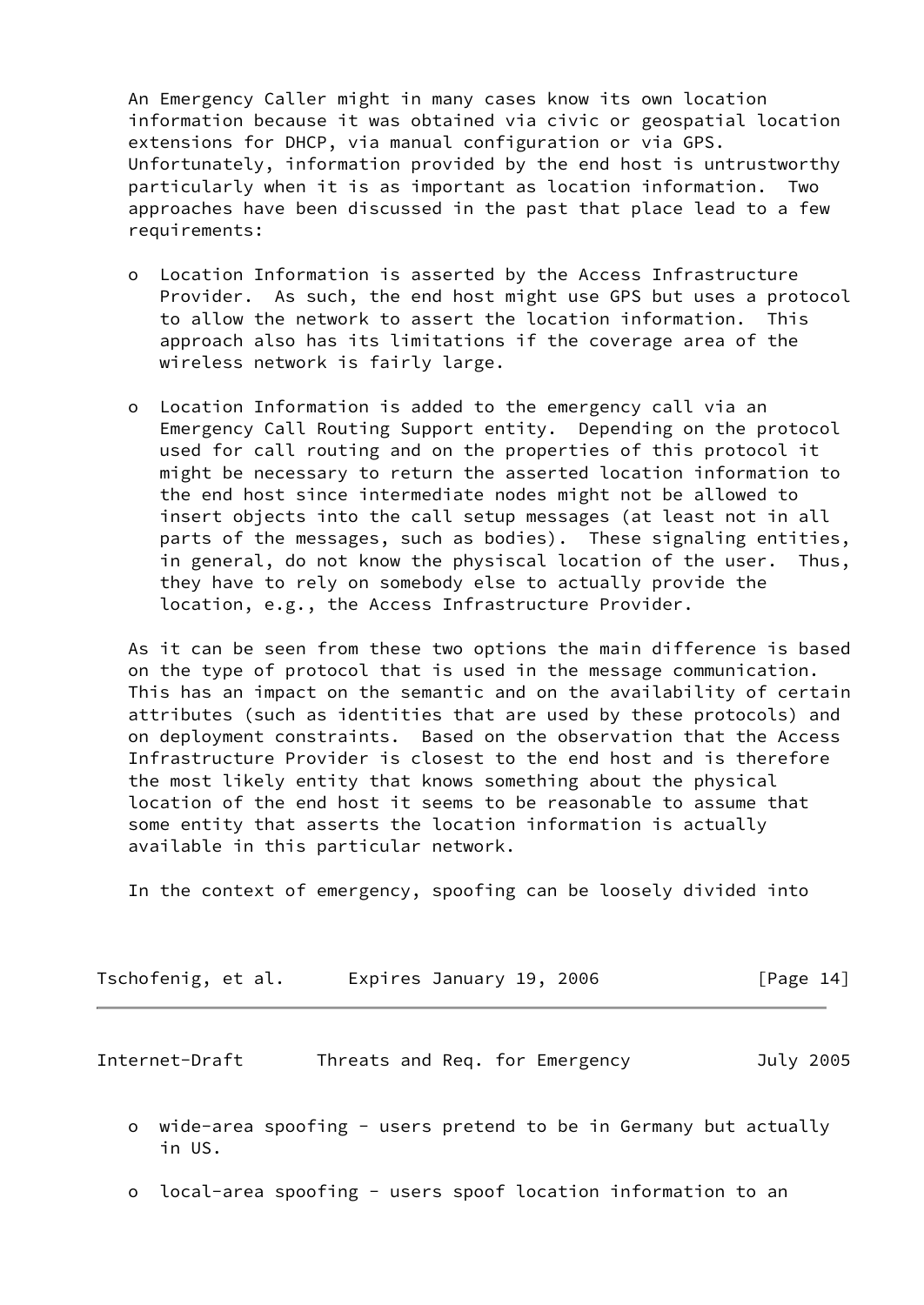An Emergency Caller might in many cases know its own location information because it was obtained via civic or geospatial location extensions for DHCP, via manual configuration or via GPS. Unfortunately, information provided by the end host is untrustworthy particularly when it is as important as location information. Two approaches have been discussed in the past that place lead to a few requirements:

- o Location Information is asserted by the Access Infrastructure Provider. As such, the end host might use GPS but uses a protocol to allow the network to assert the location information. This approach also has its limitations if the coverage area of the wireless network is fairly large.
- o Location Information is added to the emergency call via an Emergency Call Routing Support entity. Depending on the protocol used for call routing and on the properties of this protocol it might be necessary to return the asserted location information to the end host since intermediate nodes might not be allowed to insert objects into the call setup messages (at least not in all parts of the messages, such as bodies). These signaling entities, in general, do not know the physiscal location of the user. Thus, they have to rely on somebody else to actually provide the location, e.g., the Access Infrastructure Provider.

 As it can be seen from these two options the main difference is based on the type of protocol that is used in the message communication. This has an impact on the semantic and on the availability of certain attributes (such as identities that are used by these protocols) and on deployment constraints. Based on the observation that the Access Infrastructure Provider is closest to the end host and is therefore the most likely entity that knows something about the physical location of the end host it seems to be reasonable to assume that some entity that asserts the location information is actually available in this particular network.

In the context of emergency, spoofing can be loosely divided into

| Tschofenig, et al. | Expires January 19, 2006 | [Page 14] |
|--------------------|--------------------------|-----------|
|--------------------|--------------------------|-----------|

| Internet-Draft |  |  |  | Threats and Req. for Emergency | July 2005 |
|----------------|--|--|--|--------------------------------|-----------|
|----------------|--|--|--|--------------------------------|-----------|

- o wide-area spoofing users pretend to be in Germany but actually in US.
- o local-area spoofing users spoof location information to an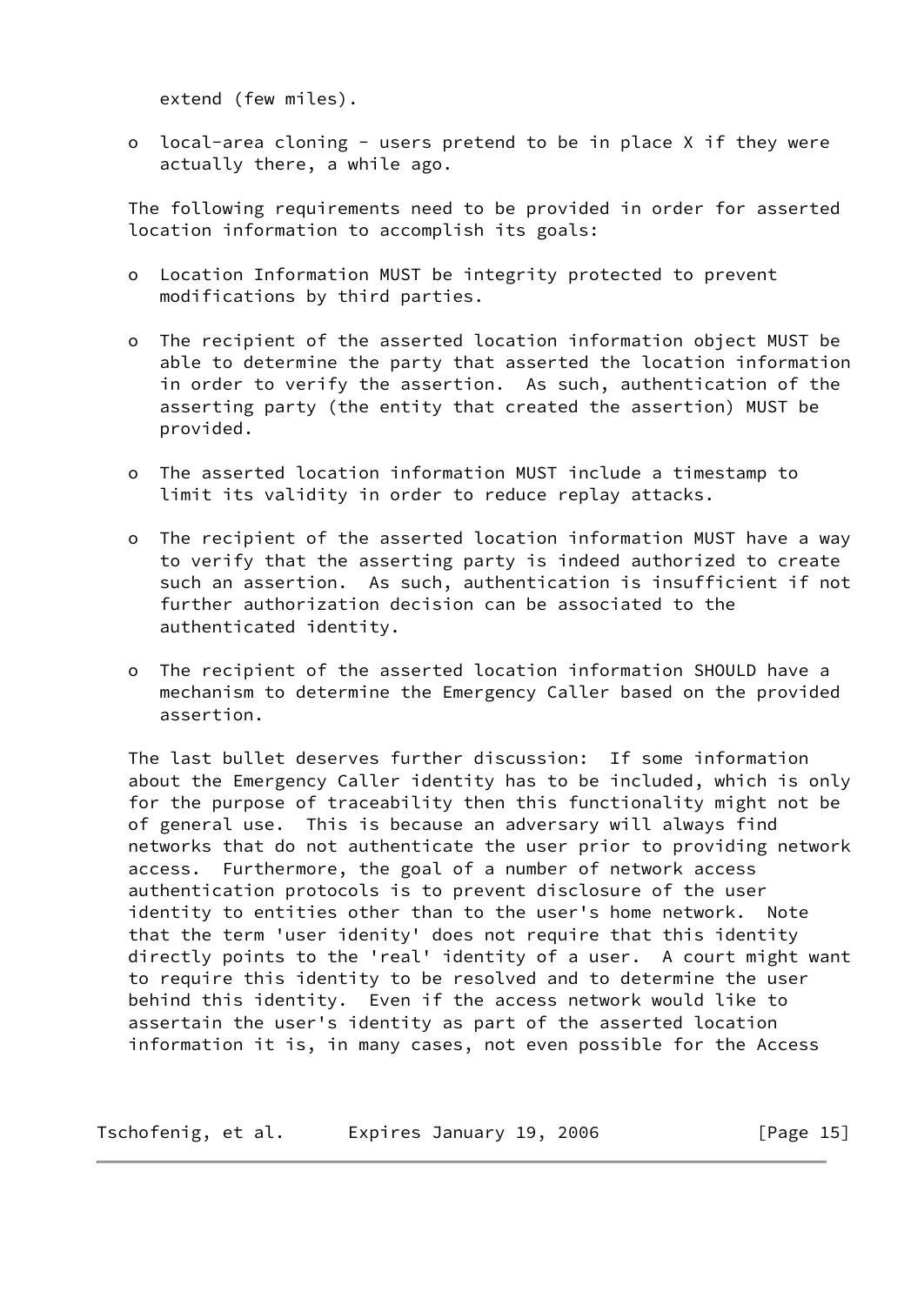extend (few miles).

 o local-area cloning - users pretend to be in place X if they were actually there, a while ago.

 The following requirements need to be provided in order for asserted location information to accomplish its goals:

- o Location Information MUST be integrity protected to prevent modifications by third parties.
- o The recipient of the asserted location information object MUST be able to determine the party that asserted the location information in order to verify the assertion. As such, authentication of the asserting party (the entity that created the assertion) MUST be provided.
- o The asserted location information MUST include a timestamp to limit its validity in order to reduce replay attacks.
- o The recipient of the asserted location information MUST have a way to verify that the asserting party is indeed authorized to create such an assertion. As such, authentication is insufficient if not further authorization decision can be associated to the authenticated identity.
- o The recipient of the asserted location information SHOULD have a mechanism to determine the Emergency Caller based on the provided assertion.

 The last bullet deserves further discussion: If some information about the Emergency Caller identity has to be included, which is only for the purpose of traceability then this functionality might not be of general use. This is because an adversary will always find networks that do not authenticate the user prior to providing network access. Furthermore, the goal of a number of network access authentication protocols is to prevent disclosure of the user identity to entities other than to the user's home network. Note that the term 'user idenity' does not require that this identity directly points to the 'real' identity of a user. A court might want to require this identity to be resolved and to determine the user behind this identity. Even if the access network would like to assertain the user's identity as part of the asserted location information it is, in many cases, not even possible for the Access

Tschofenig, et al. Expires January 19, 2006 [Page 15]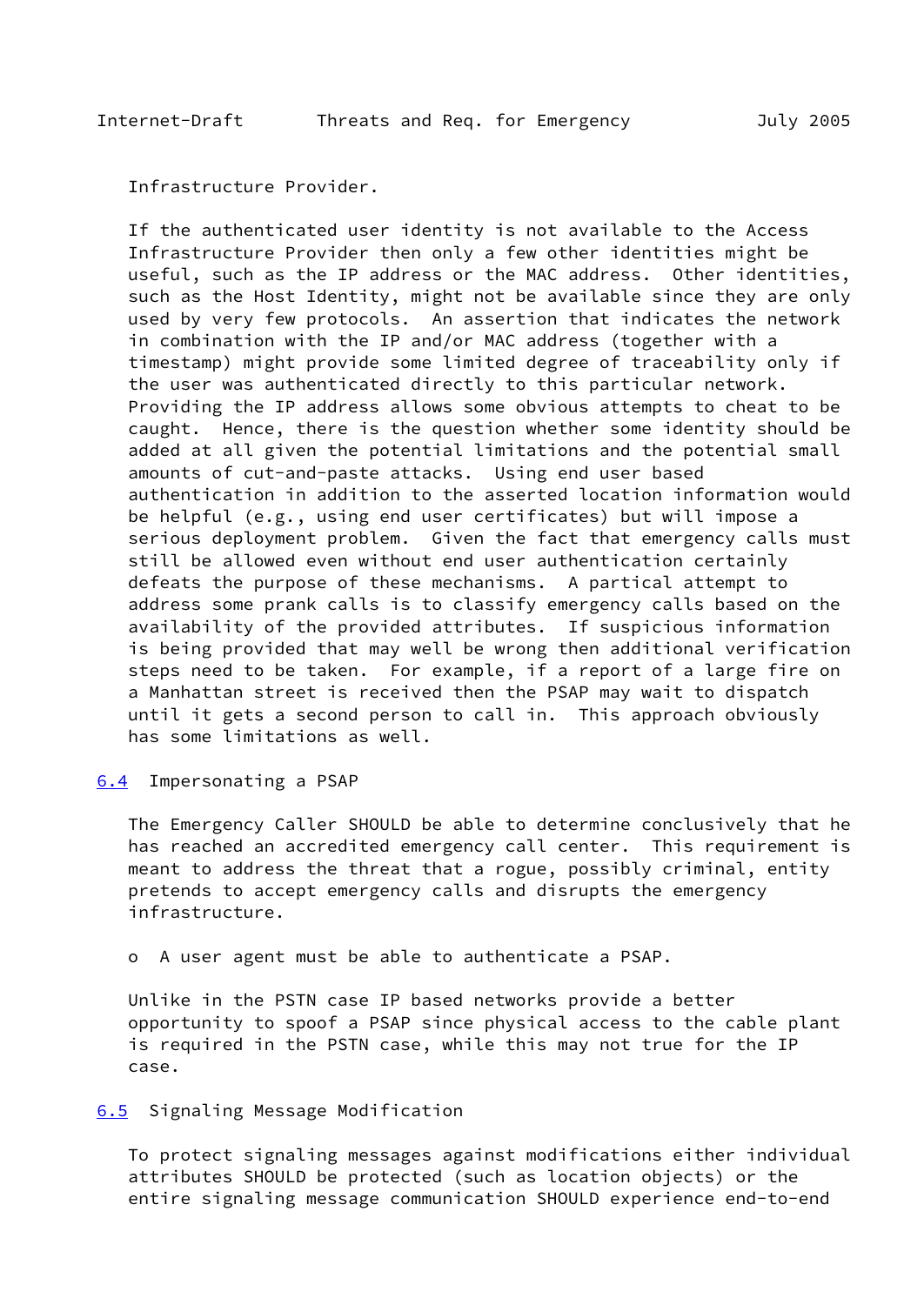<span id="page-17-1"></span>Infrastructure Provider.

 If the authenticated user identity is not available to the Access Infrastructure Provider then only a few other identities might be useful, such as the IP address or the MAC address. Other identities, such as the Host Identity, might not be available since they are only used by very few protocols. An assertion that indicates the network in combination with the IP and/or MAC address (together with a timestamp) might provide some limited degree of traceability only if the user was authenticated directly to this particular network. Providing the IP address allows some obvious attempts to cheat to be caught. Hence, there is the question whether some identity should be added at all given the potential limitations and the potential small amounts of cut-and-paste attacks. Using end user based authentication in addition to the asserted location information would be helpful (e.g., using end user certificates) but will impose a serious deployment problem. Given the fact that emergency calls must still be allowed even without end user authentication certainly defeats the purpose of these mechanisms. A partical attempt to address some prank calls is to classify emergency calls based on the availability of the provided attributes. If suspicious information is being provided that may well be wrong then additional verification steps need to be taken. For example, if a report of a large fire on a Manhattan street is received then the PSAP may wait to dispatch until it gets a second person to call in. This approach obviously has some limitations as well.

<span id="page-17-0"></span>[6.4](#page-17-0) Impersonating a PSAP

 The Emergency Caller SHOULD be able to determine conclusively that he has reached an accredited emergency call center. This requirement is meant to address the threat that a rogue, possibly criminal, entity pretends to accept emergency calls and disrupts the emergency infrastructure.

o A user agent must be able to authenticate a PSAP.

 Unlike in the PSTN case IP based networks provide a better opportunity to spoof a PSAP since physical access to the cable plant is required in the PSTN case, while this may not true for the IP case.

#### <span id="page-17-2"></span>[6.5](#page-17-2) Signaling Message Modification

 To protect signaling messages against modifications either individual attributes SHOULD be protected (such as location objects) or the entire signaling message communication SHOULD experience end-to-end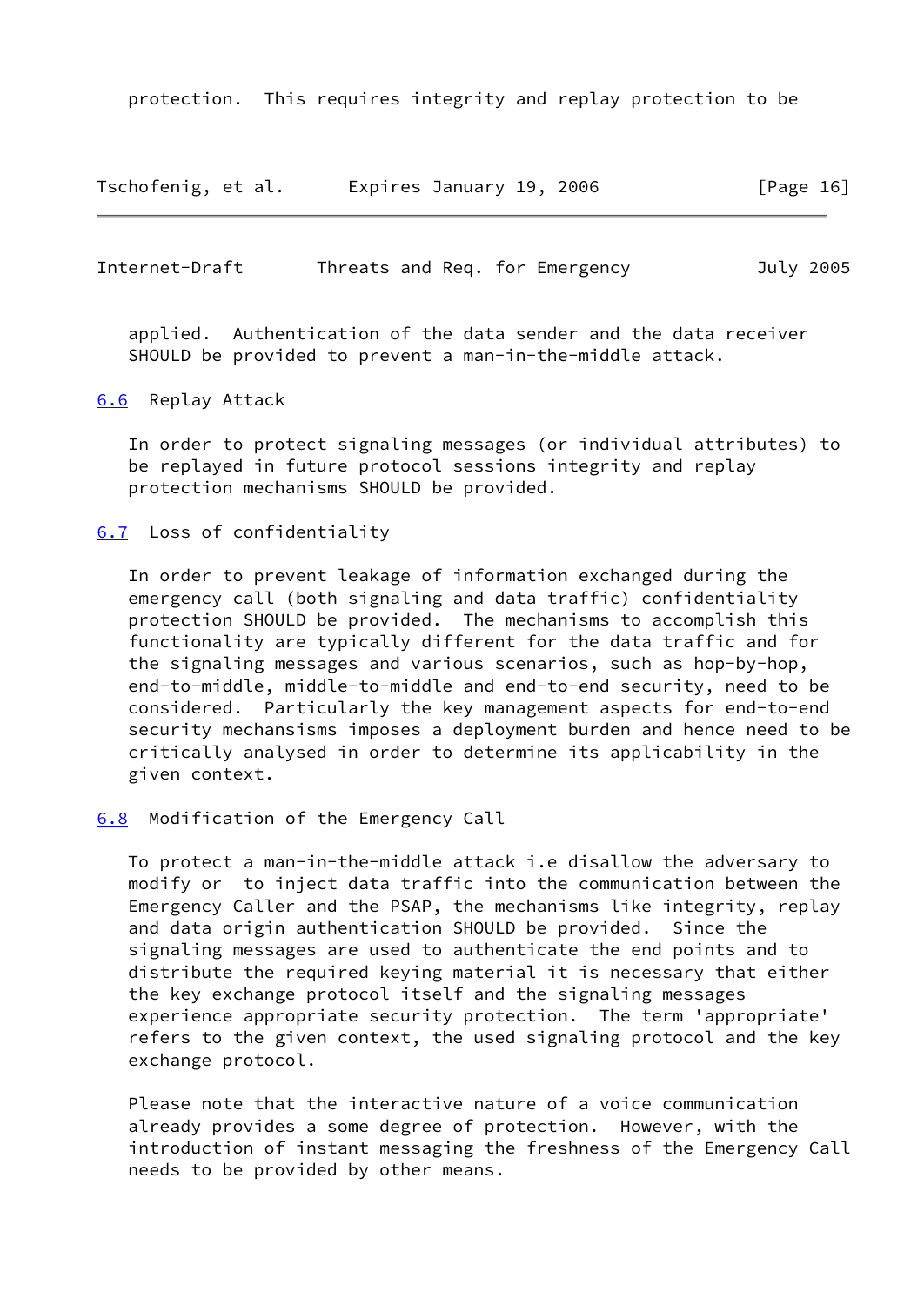protection. This requires integrity and replay protection to be

| Tschofenig, et al. | Expires January 19, 2006 | [Page 16] |
|--------------------|--------------------------|-----------|
|                    |                          |           |

<span id="page-18-1"></span>Internet-Draft Threats and Req. for Emergency July 2005

 applied. Authentication of the data sender and the data receiver SHOULD be provided to prevent a man-in-the-middle attack.

<span id="page-18-0"></span>[6.6](#page-18-0) Replay Attack

 In order to protect signaling messages (or individual attributes) to be replayed in future protocol sessions integrity and replay protection mechanisms SHOULD be provided.

#### <span id="page-18-2"></span>[6.7](#page-18-2) Loss of confidentiality

 In order to prevent leakage of information exchanged during the emergency call (both signaling and data traffic) confidentiality protection SHOULD be provided. The mechanisms to accomplish this functionality are typically different for the data traffic and for the signaling messages and various scenarios, such as hop-by-hop, end-to-middle, middle-to-middle and end-to-end security, need to be considered. Particularly the key management aspects for end-to-end security mechansisms imposes a deployment burden and hence need to be critically analysed in order to determine its applicability in the given context.

<span id="page-18-3"></span>[6.8](#page-18-3) Modification of the Emergency Call

 To protect a man-in-the-middle attack i.e disallow the adversary to modify or to inject data traffic into the communication between the Emergency Caller and the PSAP, the mechanisms like integrity, replay and data origin authentication SHOULD be provided. Since the signaling messages are used to authenticate the end points and to distribute the required keying material it is necessary that either the key exchange protocol itself and the signaling messages experience appropriate security protection. The term 'appropriate' refers to the given context, the used signaling protocol and the key exchange protocol.

 Please note that the interactive nature of a voice communication already provides a some degree of protection. However, with the introduction of instant messaging the freshness of the Emergency Call needs to be provided by other means.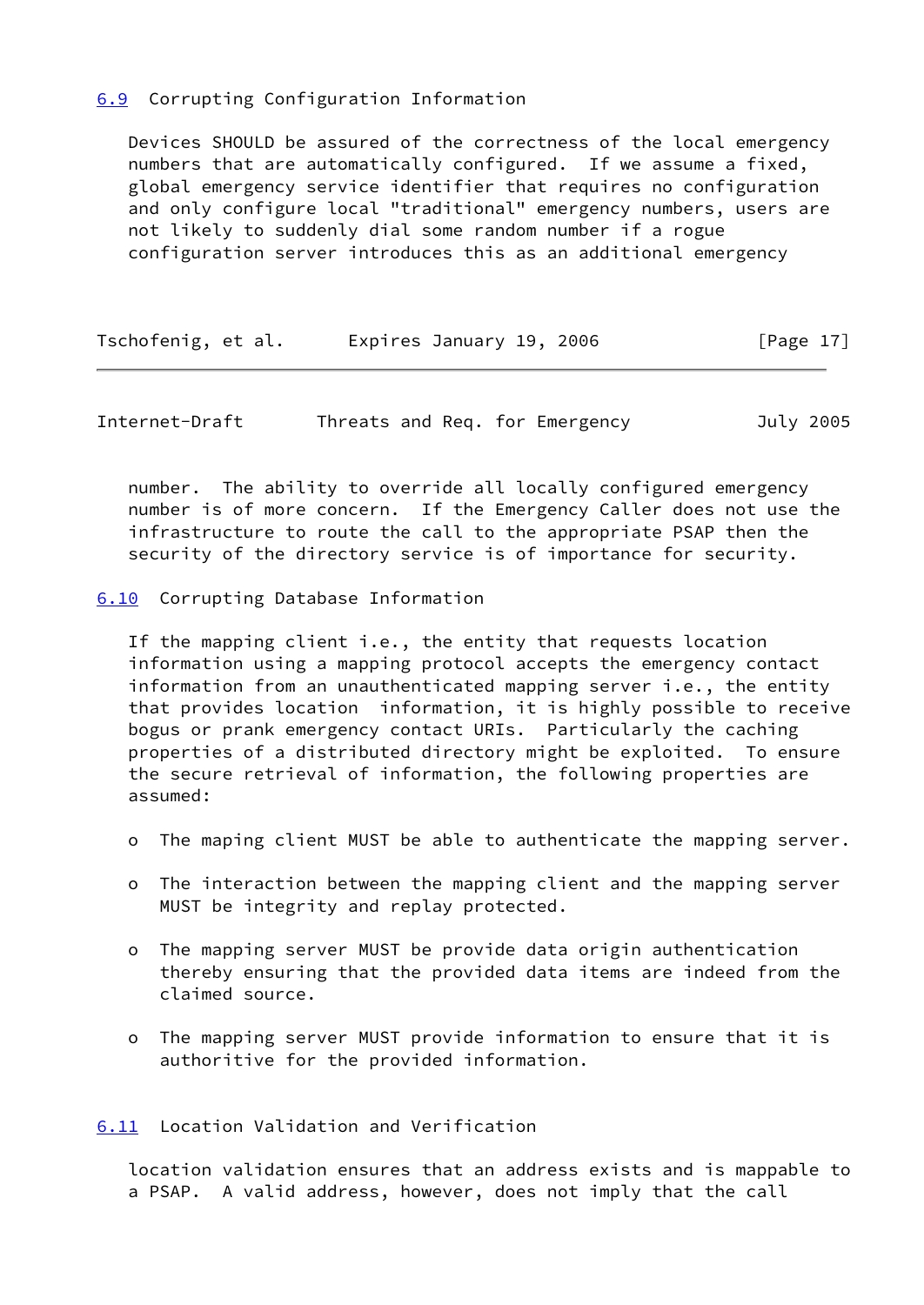# <span id="page-19-0"></span>[6.9](#page-19-0) Corrupting Configuration Information

 Devices SHOULD be assured of the correctness of the local emergency numbers that are automatically configured. If we assume a fixed, global emergency service identifier that requires no configuration and only configure local "traditional" emergency numbers, users are not likely to suddenly dial some random number if a rogue configuration server introduces this as an additional emergency

| Tschofenig, et al. | Expires January 19, 2006 | [Page 17] |
|--------------------|--------------------------|-----------|
|--------------------|--------------------------|-----------|

<span id="page-19-2"></span>Internet-Draft Threats and Req. for Emergency July 2005

 number. The ability to override all locally configured emergency number is of more concern. If the Emergency Caller does not use the infrastructure to route the call to the appropriate PSAP then the security of the directory service is of importance for security.

## <span id="page-19-1"></span>[6.10](#page-19-1) Corrupting Database Information

 If the mapping client i.e., the entity that requests location information using a mapping protocol accepts the emergency contact information from an unauthenticated mapping server i.e., the entity that provides location information, it is highly possible to receive bogus or prank emergency contact URIs. Particularly the caching properties of a distributed directory might be exploited. To ensure the secure retrieval of information, the following properties are assumed:

- o The maping client MUST be able to authenticate the mapping server.
- o The interaction between the mapping client and the mapping server MUST be integrity and replay protected.
- o The mapping server MUST be provide data origin authentication thereby ensuring that the provided data items are indeed from the claimed source.
- o The mapping server MUST provide information to ensure that it is authoritive for the provided information.

<span id="page-19-3"></span>[6.11](#page-19-3) Location Validation and Verification

 location validation ensures that an address exists and is mappable to a PSAP. A valid address, however, does not imply that the call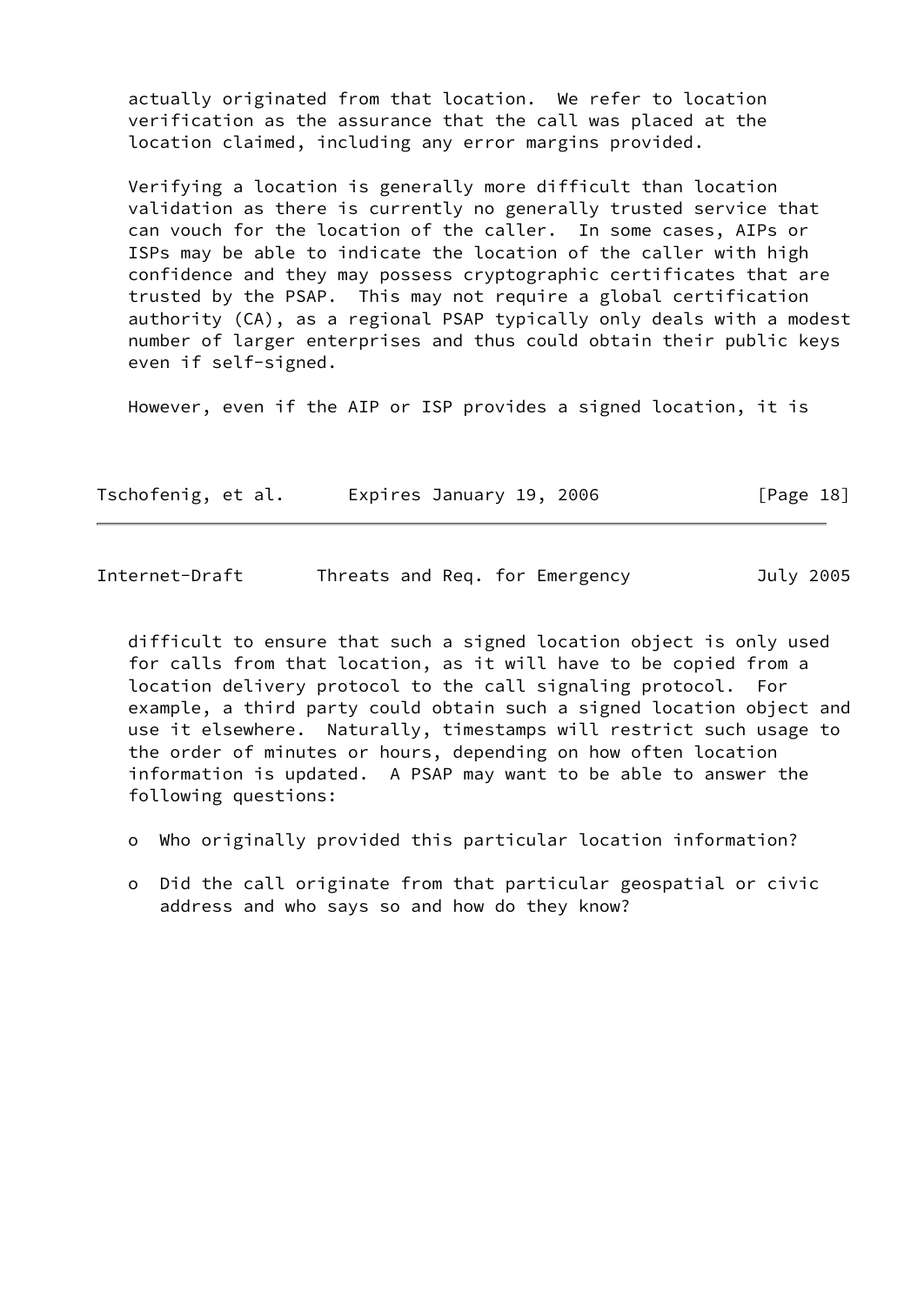actually originated from that location. We refer to location verification as the assurance that the call was placed at the location claimed, including any error margins provided.

 Verifying a location is generally more difficult than location validation as there is currently no generally trusted service that can vouch for the location of the caller. In some cases, AIPs or ISPs may be able to indicate the location of the caller with high confidence and they may possess cryptographic certificates that are trusted by the PSAP. This may not require a global certification authority (CA), as a regional PSAP typically only deals with a modest number of larger enterprises and thus could obtain their public keys even if self-signed.

However, even if the AIP or ISP provides a signed location, it is

| Tschofenig, et al. | Expires January 19, 2006 |  | [Page 18] |
|--------------------|--------------------------|--|-----------|
|--------------------|--------------------------|--|-----------|

| Internet-Draft |  |  | Threats and Req. for Emergency | July 2005 |
|----------------|--|--|--------------------------------|-----------|
|                |  |  |                                |           |

 difficult to ensure that such a signed location object is only used for calls from that location, as it will have to be copied from a location delivery protocol to the call signaling protocol. For example, a third party could obtain such a signed location object and use it elsewhere. Naturally, timestamps will restrict such usage to the order of minutes or hours, depending on how often location information is updated. A PSAP may want to be able to answer the following questions:

- o Who originally provided this particular location information?
- o Did the call originate from that particular geospatial or civic address and who says so and how do they know?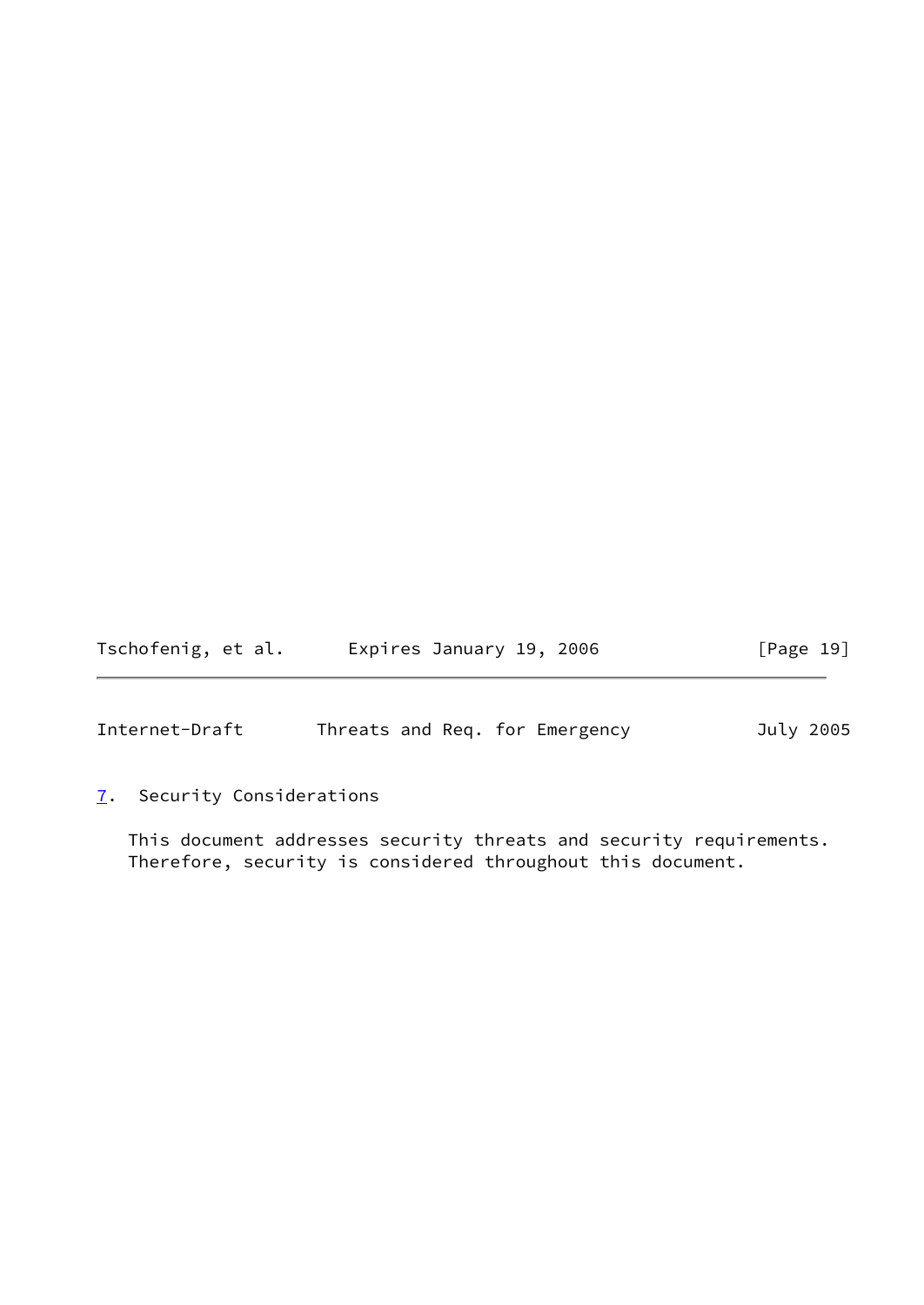| Tschofenig, et al. | Expires January 19, 2006 |  | [Page 19] |
|--------------------|--------------------------|--|-----------|
|--------------------|--------------------------|--|-----------|

<span id="page-21-1"></span>Internet-Draft Threats and Req. for Emergency July 2005

# <span id="page-21-0"></span>[7](#page-21-0). Security Considerations

 This document addresses security threats and security requirements. Therefore, security is considered throughout this document.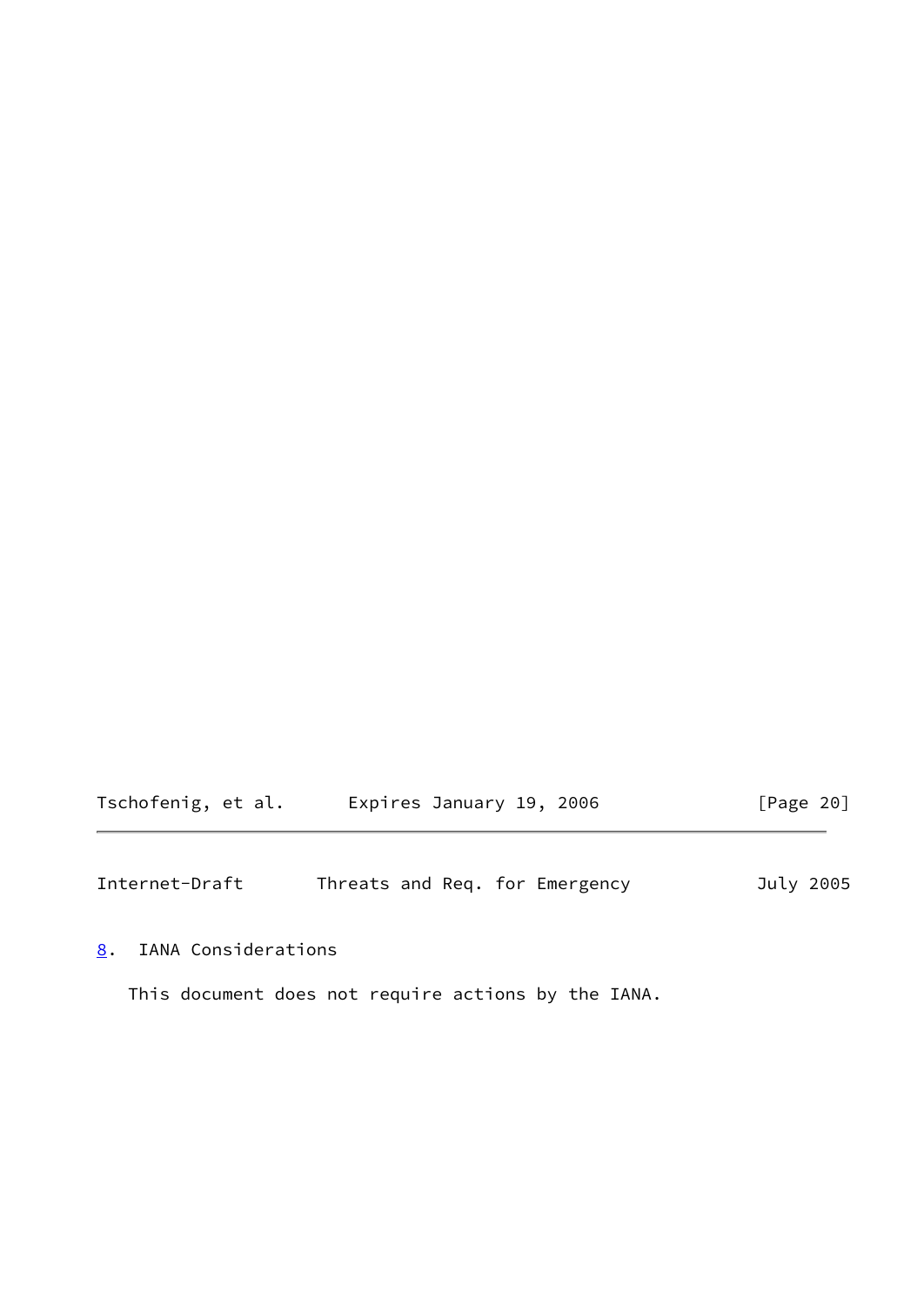Tschofenig, et al. Expires January 19, 2006 [Page 20]

<span id="page-22-1"></span>Internet-Draft Threats and Req. for Emergency July 2005

<span id="page-22-0"></span>[8](#page-22-0). IANA Considerations

This document does not require actions by the IANA.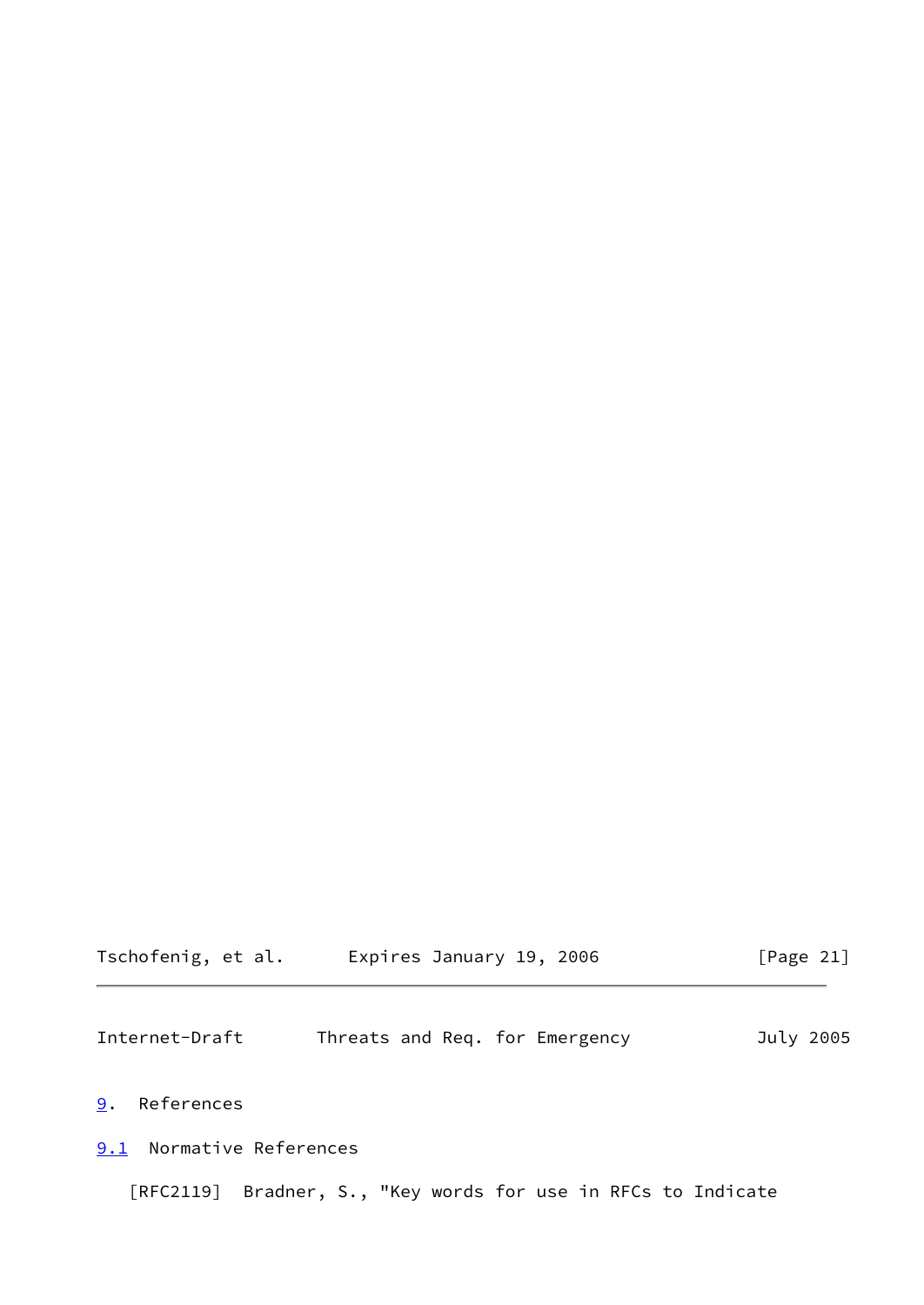# Tschofenig, et al. Expires January 19, 2006 [Page 21]

<span id="page-23-1"></span>Internet-Draft Threats and Req. for Emergency July 2005

# <span id="page-23-0"></span>[9](#page-23-0). References

# <span id="page-23-2"></span>[9.1](#page-23-2) Normative References

[RFC2119] Bradner, S., "Key words for use in RFCs to Indicate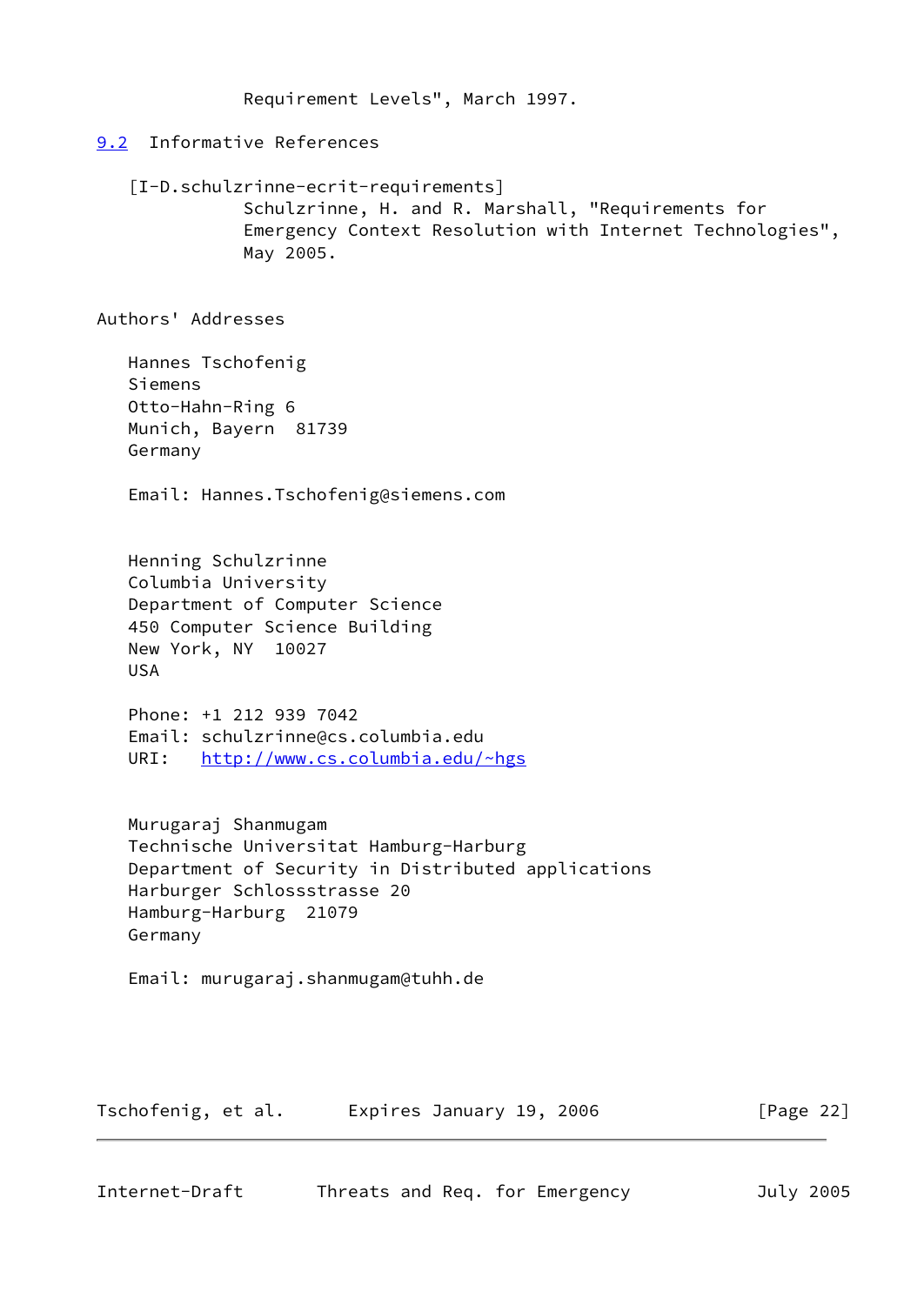Requirement Levels", March 1997.

# <span id="page-24-0"></span>[9.2](#page-24-0) Informative References

<span id="page-24-2"></span> [I-D.schulzrinne-ecrit-requirements] Schulzrinne, H. and R. Marshall, "Requirements for Emergency Context Resolution with Internet Technologies", May 2005.

Authors' Addresses

 Hannes Tschofenig Siemens Otto-Hahn-Ring 6 Munich, Bayern 81739 Germany

Email: Hannes.Tschofenig@siemens.com

 Henning Schulzrinne Columbia University Department of Computer Science 450 Computer Science Building New York, NY 10027 USA

 Phone: +1 212 939 7042 Email: schulzrinne@cs.columbia.edu URI: <http://www.cs.columbia.edu/~hgs>

 Murugaraj Shanmugam Technische Universitat Hamburg-Harburg Department of Security in Distributed applications Harburger Schlossstrasse 20 Hamburg-Harburg 21079 Germany

Email: murugaraj.shanmugam@tuhh.de

Tschofenig, et al. Expires January 19, 2006 [Page 22]

<span id="page-24-1"></span>Internet-Draft Threats and Req. for Emergency July 2005